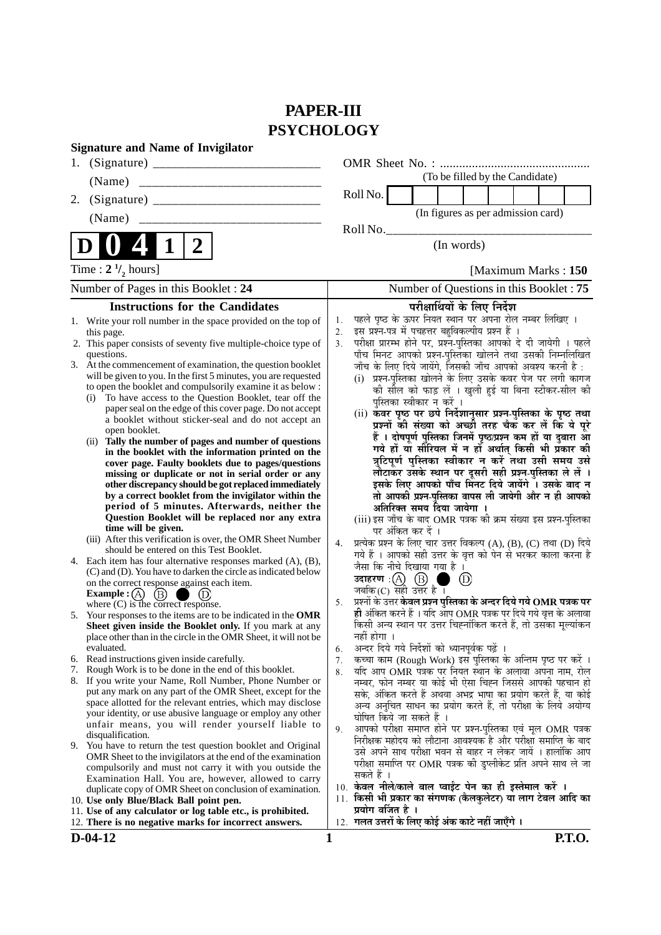# **PAPER-III PSYCHOLOGY**

| <b>Signature and Name of Invigilator</b>                                                                                                                                                                                                                                                                                                                                                                                                                                                                                                                                                                                                                                                                                                                                                                                                                                                                                                                                                                      |                                                                                                                                                                                                                                                                                                                                                                                                                                                                                                                                                                                                                                                                                                                                                                                                                                                                                                                                                                                                                                                                         |
|---------------------------------------------------------------------------------------------------------------------------------------------------------------------------------------------------------------------------------------------------------------------------------------------------------------------------------------------------------------------------------------------------------------------------------------------------------------------------------------------------------------------------------------------------------------------------------------------------------------------------------------------------------------------------------------------------------------------------------------------------------------------------------------------------------------------------------------------------------------------------------------------------------------------------------------------------------------------------------------------------------------|-------------------------------------------------------------------------------------------------------------------------------------------------------------------------------------------------------------------------------------------------------------------------------------------------------------------------------------------------------------------------------------------------------------------------------------------------------------------------------------------------------------------------------------------------------------------------------------------------------------------------------------------------------------------------------------------------------------------------------------------------------------------------------------------------------------------------------------------------------------------------------------------------------------------------------------------------------------------------------------------------------------------------------------------------------------------------|
|                                                                                                                                                                                                                                                                                                                                                                                                                                                                                                                                                                                                                                                                                                                                                                                                                                                                                                                                                                                                               |                                                                                                                                                                                                                                                                                                                                                                                                                                                                                                                                                                                                                                                                                                                                                                                                                                                                                                                                                                                                                                                                         |
| (Name)                                                                                                                                                                                                                                                                                                                                                                                                                                                                                                                                                                                                                                                                                                                                                                                                                                                                                                                                                                                                        | (To be filled by the Candidate)                                                                                                                                                                                                                                                                                                                                                                                                                                                                                                                                                                                                                                                                                                                                                                                                                                                                                                                                                                                                                                         |
| 2.                                                                                                                                                                                                                                                                                                                                                                                                                                                                                                                                                                                                                                                                                                                                                                                                                                                                                                                                                                                                            | Roll No.                                                                                                                                                                                                                                                                                                                                                                                                                                                                                                                                                                                                                                                                                                                                                                                                                                                                                                                                                                                                                                                                |
| (Name)                                                                                                                                                                                                                                                                                                                                                                                                                                                                                                                                                                                                                                                                                                                                                                                                                                                                                                                                                                                                        | (In figures as per admission card)                                                                                                                                                                                                                                                                                                                                                                                                                                                                                                                                                                                                                                                                                                                                                                                                                                                                                                                                                                                                                                      |
|                                                                                                                                                                                                                                                                                                                                                                                                                                                                                                                                                                                                                                                                                                                                                                                                                                                                                                                                                                                                               | Roll No.                                                                                                                                                                                                                                                                                                                                                                                                                                                                                                                                                                                                                                                                                                                                                                                                                                                                                                                                                                                                                                                                |
| $\boldsymbol{2}$<br>1                                                                                                                                                                                                                                                                                                                                                                                                                                                                                                                                                                                                                                                                                                                                                                                                                                                                                                                                                                                         | (In words)                                                                                                                                                                                                                                                                                                                                                                                                                                                                                                                                                                                                                                                                                                                                                                                                                                                                                                                                                                                                                                                              |
| Time : $2 \frac{1}{2}$ hours]                                                                                                                                                                                                                                                                                                                                                                                                                                                                                                                                                                                                                                                                                                                                                                                                                                                                                                                                                                                 | [Maximum Marks: 150]                                                                                                                                                                                                                                                                                                                                                                                                                                                                                                                                                                                                                                                                                                                                                                                                                                                                                                                                                                                                                                                    |
| Number of Pages in this Booklet : 24                                                                                                                                                                                                                                                                                                                                                                                                                                                                                                                                                                                                                                                                                                                                                                                                                                                                                                                                                                          | Number of Questions in this Booklet: 75                                                                                                                                                                                                                                                                                                                                                                                                                                                                                                                                                                                                                                                                                                                                                                                                                                                                                                                                                                                                                                 |
| <b>Instructions for the Candidates</b>                                                                                                                                                                                                                                                                                                                                                                                                                                                                                                                                                                                                                                                                                                                                                                                                                                                                                                                                                                        | परीक्षार्थियों के लिए निर्देश                                                                                                                                                                                                                                                                                                                                                                                                                                                                                                                                                                                                                                                                                                                                                                                                                                                                                                                                                                                                                                           |
| 1. Write your roll number in the space provided on the top of<br>this page.<br>2. This paper consists of seventy five multiple-choice type of<br>questions.<br>3. At the commencement of examination, the question booklet<br>will be given to you. In the first 5 minutes, you are requested<br>to open the booklet and compulsorily examine it as below :<br>To have access to the Question Booklet, tear off the<br>(i)<br>paper seal on the edge of this cover page. Do not accept<br>a booklet without sticker-seal and do not accept an<br>open booklet.<br>(ii) Tally the number of pages and number of questions<br>in the booklet with the information printed on the<br>cover page. Faulty booklets due to pages/questions<br>missing or duplicate or not in serial order or any<br>other discrepancy should be got replaced immediately<br>by a correct booklet from the invigilator within the<br>period of 5 minutes. Afterwards, neither the<br>Question Booklet will be replaced nor any extra | पहले पृष्ठ के ऊपर नियत स्थान पर अपना रोल नम्बर लिखिए ।<br>1.<br>इस प्रश्न-पत्र में पचहत्तर बहुविकल्पीय प्रश्न हैं ।<br>2.<br>परीक्षा प्रारम्भ होने पर, प्रश्न-पुस्तिका आपको दे दी जायेगी । पहले<br>3.<br>पाँच मिनट आपको प्रश्न-पुस्तिका खोलने तथा उसकी निम्नलिखित<br>जाँच के लिए दिये जायेंगे, जिसकी जाँच आपको अवश्य करनी है :<br>(i) प्रश्न-पुस्तिका खोलने के लिए उसके कवर पेज पर लगी कागज<br>की सील को फाड़ लें । खुली हुई या बिना स्टीकर-सील की<br>पुस्तिका स्वीकार न करें ।<br>(ii) कवर पृष्ठ पर छपे निर्देशानुसार प्रश्न-पुस्तिका के पृष्ठ तथा<br>प्रश्नों की संख्या को अच्छी तरह चैक कर लें कि ये पूरे<br>हैं । दोषपूर्ण पुस्तिका जिनमें पृष्ठ/प्रश्न कम हों या दुबारा आ<br>गये हों या सीरियल में न हों अर्थात् किसी भी प्रकार की<br>त्रुटिपूर्ण पुस्तिका स्वीकार न करें तथा उसी समय उसे<br>लौटाकर उसके स्थान पर दूसरी सही प्रश्न-पुस्तिका ले लें ।<br>इसके लिए आपको पाँच मिनट दिये जायेंगे । उसके बाद न<br>तो आपकी प्रश्न-पुस्तिका वापस ली जायेगी और न ही आपको<br>अतिरिक्त समय दिया जायेगा ।<br>(iii) इस जाँच के बाद OMR पत्रक की क्रम संख्या इस प्रश्न-पुस्तिका |
| time will be given.<br>(iii) After this verification is over, the OMR Sheet Number                                                                                                                                                                                                                                                                                                                                                                                                                                                                                                                                                                                                                                                                                                                                                                                                                                                                                                                            | पर अंकित कर दें ।<br>प्रत्येक प्रश्न के लिए चार उत्तर विकल्प (A), (B), (C) तथा (D) दिये<br>4.                                                                                                                                                                                                                                                                                                                                                                                                                                                                                                                                                                                                                                                                                                                                                                                                                                                                                                                                                                           |
| should be entered on this Test Booklet.<br>4. Each item has four alternative responses marked (A), (B),<br>(C) and (D). You have to darken the circle as indicated below<br>on the correct response against each item.<br><b>Example</b> : $(A)$<br>(B)                                                                                                                                                                                                                                                                                                                                                                                                                                                                                                                                                                                                                                                                                                                                                       | गये हैं । आपको सही उत्तर के वृत्त को पेन से भरकर काला करना है<br>जैसा कि नीचे दिखाया गया है ।<br>उदाहरण: $(A)$ $(B)$<br>$\left( \mathrm{D}\right)$<br>जबकि $(C)$ सही उत्तर है।                                                                                                                                                                                                                                                                                                                                                                                                                                                                                                                                                                                                                                                                                                                                                                                                                                                                                          |
| where $(C)$ is the correct response.<br>5. Your responses to the items are to be indicated in the OMR<br>Sheet given inside the Booklet only. If you mark at any<br>place other than in the circle in the OMR Sheet, it will not be<br>evaluated.                                                                                                                                                                                                                                                                                                                                                                                                                                                                                                                                                                                                                                                                                                                                                             | प्रश्नों के उत्तर केवल प्रश्न पुस्तिका के अन्दर दिये गये $\bf OMR$ पत्रक पर<br>5.<br>ही अंकित करने हैं । यदि आप OMR पत्रक पर दिये गये वृत्त के अलावा<br>किसी अन्य स्थान पर उत्तर चिह्नांकित करते हैं, तो उसका मूल्यांकन<br>नहीं होगा ।<br>अन्दर दिये गये निर्देशों को ध्यानपूर्वक पढ़ें ।                                                                                                                                                                                                                                                                                                                                                                                                                                                                                                                                                                                                                                                                                                                                                                               |
| 6. Read instructions given inside carefully.                                                                                                                                                                                                                                                                                                                                                                                                                                                                                                                                                                                                                                                                                                                                                                                                                                                                                                                                                                  | 6.<br>कच्चा काम (Rough Work) इस पुस्तिका के अन्तिम पृष्ठ पर करें ।<br>7.                                                                                                                                                                                                                                                                                                                                                                                                                                                                                                                                                                                                                                                                                                                                                                                                                                                                                                                                                                                                |
| 7. Rough Work is to be done in the end of this booklet.                                                                                                                                                                                                                                                                                                                                                                                                                                                                                                                                                                                                                                                                                                                                                                                                                                                                                                                                                       | यदि आप OMR पत्रक पर नियत स्थान के अलावा अपना नाम, रोल<br>8.                                                                                                                                                                                                                                                                                                                                                                                                                                                                                                                                                                                                                                                                                                                                                                                                                                                                                                                                                                                                             |
| 8. If you write your Name, Roll Number, Phone Number or<br>put any mark on any part of the OMR Sheet, except for the<br>space allotted for the relevant entries, which may disclose<br>your identity, or use abusive language or employ any other<br>unfair means, you will render yourself liable to<br>disqualification.                                                                                                                                                                                                                                                                                                                                                                                                                                                                                                                                                                                                                                                                                    | नम्बर, फोन नम्बर या कोई भी ऐसा चिह्न जिससे आपकी पहचान हो<br>सके, अंकित करते हैं अथवा अभद्र भाषा का प्रयोग करते हैं, या कोई<br>अन्य अनुचित साधन का प्रयोग करते हैं, तो परीक्षा के लिये अयोग्य<br>घोषित किये जा सकते हैं ।<br>आपको परीक्षा समाप्त होने पर प्रश्न-पुस्तिका एवं मूल OMR पत्रक<br>9.<br>निरीक्षक महोदय को लौटाना आवश्यक है और परीक्षा समाप्ति के बाद                                                                                                                                                                                                                                                                                                                                                                                                                                                                                                                                                                                                                                                                                                         |
| 9. You have to return the test question booklet and Original<br>OMR Sheet to the invigilators at the end of the examination<br>compulsorily and must not carry it with you outside the<br>Examination Hall. You are, however, allowed to carry<br>duplicate copy of OMR Sheet on conclusion of examination.                                                                                                                                                                                                                                                                                                                                                                                                                                                                                                                                                                                                                                                                                                   | उसे अपने साथ परीक्षा भवन से बाहर न लेकर जायें । हालांकि आप<br>परीक्षा समाप्ति पर OMR पत्रक की डुप्लीकेट प्रति अपने साथ ले जा<br>सकते हैं ।<br>10. केवल नीले/काले बाल प्वाईंट पेन का ही इस्तेमाल करें ।<br>11. किसी भी प्रकार का संगणक (कैलकुलेटर) या लाग टेबल आदि का                                                                                                                                                                                                                                                                                                                                                                                                                                                                                                                                                                                                                                                                                                                                                                                                    |
| 10. Use only Blue/Black Ball point pen.<br>11. Use of any calculator or log table etc., is prohibited.                                                                                                                                                                                                                                                                                                                                                                                                                                                                                                                                                                                                                                                                                                                                                                                                                                                                                                        | प्रयोग वर्जित है ।                                                                                                                                                                                                                                                                                                                                                                                                                                                                                                                                                                                                                                                                                                                                                                                                                                                                                                                                                                                                                                                      |
| 12. There is no negative marks for incorrect answers.                                                                                                                                                                                                                                                                                                                                                                                                                                                                                                                                                                                                                                                                                                                                                                                                                                                                                                                                                         | 12. गलत उत्तरों के लिए कोई अंक काटे नहीं जाएँगे ।                                                                                                                                                                                                                                                                                                                                                                                                                                                                                                                                                                                                                                                                                                                                                                                                                                                                                                                                                                                                                       |
| $D-04-12$                                                                                                                                                                                                                                                                                                                                                                                                                                                                                                                                                                                                                                                                                                                                                                                                                                                                                                                                                                                                     | $\mathbf{1}$<br><b>P.T.O.</b>                                                                                                                                                                                                                                                                                                                                                                                                                                                                                                                                                                                                                                                                                                                                                                                                                                                                                                                                                                                                                                           |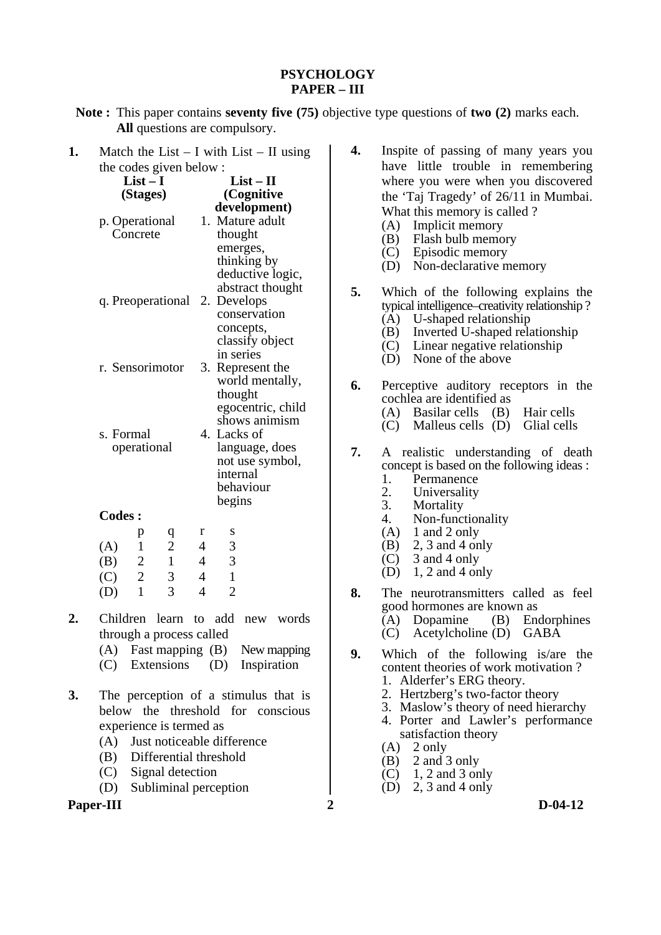# **PSYCHOLOGY PAPER – III**

**Note :** This paper contains **seventy five (75)** objective type questions of **two (2)** marks each. **All** questions are compulsory.

| 1. |                        |                 |                          |                |                |                  | Match the List $- I$ with List $- II$ using |  |  |
|----|------------------------|-----------------|--------------------------|----------------|----------------|------------------|---------------------------------------------|--|--|
|    | the codes given below: |                 |                          |                |                |                  |                                             |  |  |
|    |                        | $List-I$        |                          |                |                | $List - II$      |                                             |  |  |
|    |                        | (Stages)        |                          |                |                | (Cognitive       |                                             |  |  |
|    |                        |                 |                          |                |                | development)     |                                             |  |  |
|    |                        | p. Operational  |                          |                |                | 1. Mature adult  |                                             |  |  |
|    |                        | Concrete        |                          |                | thought        |                  |                                             |  |  |
|    |                        |                 |                          |                |                | emerges,         |                                             |  |  |
|    |                        |                 |                          |                |                | thinking by      |                                             |  |  |
|    |                        |                 |                          |                |                | deductive logic, |                                             |  |  |
|    |                        |                 |                          |                |                | abstract thought |                                             |  |  |
|    |                        |                 | q. Preoperational        | 2.             |                | Develops         |                                             |  |  |
|    |                        |                 |                          |                |                | conservation     |                                             |  |  |
|    |                        |                 |                          |                |                | concepts,        |                                             |  |  |
|    |                        |                 |                          |                |                | classify object  |                                             |  |  |
|    |                        |                 |                          |                | in series      |                  |                                             |  |  |
|    |                        | r. Sensorimotor |                          |                |                | 3. Represent the |                                             |  |  |
|    |                        |                 |                          |                |                | world mentally,  |                                             |  |  |
|    |                        |                 |                          |                |                | thought          |                                             |  |  |
|    |                        |                 |                          |                |                |                  | egocentric, child                           |  |  |
|    |                        |                 |                          |                |                | shows animism    |                                             |  |  |
|    | s. Formal              |                 |                          |                | 4. Lacks of    |                  |                                             |  |  |
|    |                        | operational     |                          |                |                | language, does   |                                             |  |  |
|    |                        |                 |                          |                |                | not use symbol,  |                                             |  |  |
|    |                        |                 |                          |                | internal       | behaviour        |                                             |  |  |
|    |                        |                 |                          |                | begins         |                  |                                             |  |  |
|    | <b>Codes:</b>          |                 |                          |                |                |                  |                                             |  |  |
|    |                        |                 |                          |                |                |                  |                                             |  |  |
|    |                        | p               | $\mathbf q$              | r              | S              |                  |                                             |  |  |
|    | (A)                    | $\mathbf{1}$    | $\overline{c}$           | 4              | 3              |                  |                                             |  |  |
|    | (B)                    | $\overline{c}$  | $\mathbf{1}$             | $\overline{4}$ | 3              |                  |                                             |  |  |
|    | (C)                    | $\overline{c}$  | 3                        | $\overline{4}$ | $\mathbf{1}$   |                  |                                             |  |  |
|    | (D)                    | 1               | 3                        | 4              | $\overline{2}$ |                  |                                             |  |  |
| 2. |                        |                 | Children learn to add    |                |                | new              | words                                       |  |  |
|    |                        |                 | through a process called |                |                |                  |                                             |  |  |

- through a process called
	- (A) Fast mapping (B) New mapping
	- (C) Extensions (D) Inspiration
- **3.** The perception of a stimulus that is below the threshold for conscious experience is termed as
	- (A) Just noticeable difference
	- (B) Differential threshold
	- (C) Signal detection
	- (D) Subliminal perception

**Paper-III** 2 D-04-12

- **4.** Inspite of passing of many years you have little trouble in remembering where you were when you discovered the 'Taj Tragedy' of 26/11 in Mumbai. What this memory is called ?
	- (A) Implicit memory
	- (B) Flash bulb memory
	- (C) Episodic memory
	- (D) Non-declarative memory
- **5.** Which of the following explains the typical intelligence–creativity relationship ? (A) U-shaped relationship
	- (B) Inverted U-shaped relationship
	- (C) Linear negative relationship
	- (D) None of the above
- **6.** Perceptive auditory receptors in the cochlea are identified as
	- (A) Basilar cells (B) Hair cells
	- $(C)$  Malleus cells  $(D)$  Glial cells
- **7.** A realistic understanding of death concept is based on the following ideas :<br>1. Permanence
	- 1. Permanence<br>2. Universality
	- 2. Universality<br>3. Mortality
	- 3. Mortality<br>4 Non-func Non-functionality
	- $(A)$  1 and 2 only
	- (B) 2, 3 and 4 only
	- $(C)$  3 and 4 only
	- $(D)$  1, 2 and 4 only
- **8.** The neurotransmitters called as feel good hormones are known as
	- (A) Dopamine (B) Endorphines
	- (C) Acetylcholine (D) GABA
- **9.** Which of the following is/are the content theories of work motivation ?
	- 1. Alderfer's ERG theory.
	- 2. Hertzberg's two-factor theory
	- 3. Maslow's theory of need hierarchy
	- 4. Porter and Lawler's performance satisfaction theory
- $(A)$  2 only
- (B) 2 and 3 only
- (C) 1, 2 and 3 only
	- (D) 2, 3 and 4 only
-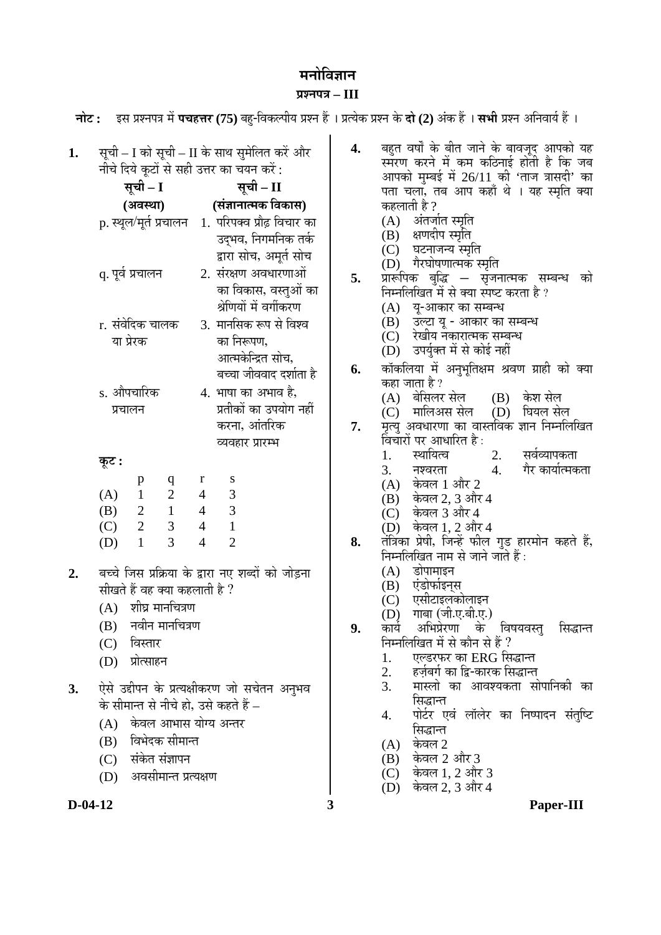# **मनोविज्ञान <u>Ugaua</u>** – III

**चोट: इस प्रश्नपत्र में पचहत्तर (75)** बह-विकल्पीय प्रश्न हैं । प्रत्येक प्रश्न के **दो (2)** अंक हैं । सभी प्रश्न अनिवार्य हैं ।

#### 1. सूची – I को सूची – II के साथ सुमेलित करें और नीचे दिये कूटों से सही उत्तर का चयन करें: **सूची** – I **(†¾ÖãÖÖ) सूची – II (ÃÖÓ–ÖÖ®ÖÖŸ´ÖÛú ×¾ÖÛúÖÃÖ)**  p. स्थल/मर्त प्रचालन 1. परिपक्व प्रौढ़ विचार का उदभव, निगमनिक तर्क द्वारा सोच, अमूर्त सोच q. ¯Öæ¾ÖÔ ¯ÖÏ"ÖÖ»Ö®Ö 2. ÃÖÓ¸üõÖÞÖ †¾Ö¬ÖÖ¸üÞÖÖ†Öë का विकास, वस्तुओं का श्रेणियों में वर्गीकरण r. संवेदिक चालक या प्रेरक 3. मानसिक रूप से विश्व का निरूपण, आत्मकेन्द्रित सोच, बच्चा जीववाद दर्शाता है s. औपचारिक  $\overline{u}$ चालन 4. भाषा का अभाव है, प्रतीकों का उपयोग नहीं करना, आंतरिक व्यवहार प्रारम्भ **Ûæú™ü :**  p q r s  $(A)$  1 2 4 3 कहलाती है ?<br>(A) अंतज (B) क्षणदीप स्मृति<br>(C) घटनाजन्य स्मृ (D) गैरघोषणात्मक स्मृति<br>5. प्रारूपिक बुद्धि — सृजन कहा जाता है ?<br>(A) बेसिलर

| (A) |              |   |   |   |
|-----|--------------|---|---|---|
| (B) | <sup>2</sup> |   | 4 | 3 |
| (C) | <sup>2</sup> | 3 |   |   |
| (D) |              | 3 |   |   |

- 2. बच्चे जिस प्रक्रिया के द्वारा नए शब्दों को जोडना सीखते हैं वह क्या कहलाती है ?
	- $(A)$  शीघ्र मानचित्रण
	- $(B)$  नवीन मानचित्रण
	- (C) विस्तार
	- (D) प्रोत्साहन
- 3. ऐसे उद्दीपन के प्रत्यक्षीकरण जो सचेतन अनुभव के सीमान्त से नीचे हो, उसे कहते हैं  $-$ 
	- (A) केवल आभास योग्य अन्तर
	- (B) विभेदक सीमान्त
	- (C) संकेत संज्ञापन
	- (D) अवसीमान्त प्रत्यक्षण
- **4.** बहुत वर्षों के बीत जाने के बावजूद आपको यह स्मरण करने में कम कठिनाई होती है कि जब आपको मुम्बई में  $26/11$  की 'ताज त्रासदी' का पता चला, तब आप कहाँ थे । यह स्मृति क्या अंतर्जात स्मृति
	-
	-
	- $(C)$  घटनाजन्य स्मृति<br> $(D)$ ाैरघोषणात्मक र
	-
- प्रारूपिक बुद्धि सृजनात्मक सम्बन्ध को<br>निम्नलिखित<sup>ं</sup>में से क्या स्पष्ट करता है*?* 
	- (A) यू-आकार का सम्बन्ध
	- $(B)$   $\bar{3}$   $\bar{c}$  $\bar{c}$   $\bar{c}$   $\bar{c}$   $\bar{c}$   $\bar{c}$   $\bar{c}$   $\bar{c}$   $\bar{c}$   $\bar{c}$   $\bar{c}$   $\bar{c}$   $\bar{c}$   $\bar{c}$   $\bar{c}$   $\bar{c}$   $\bar{c}$   $\bar{c}$   $\bar{c}$   $\bar{c}$   $\bar{c}$   $\bar{c}$   $\bar{c}$   $\bar{c}$   $\bar{c}$   $\bar{c}$
	- (C) रेखीय नकारात्मक सम्बन्ध
	- (D) उपर्युक्त में से कोई नहीं
- 6. कॉकलिया में अनुभूतिक्षम श्रवण ग्राही को क्या
	- (A) बेसिलर सेल (B) केश सेल<br>(C) मालिअस सेल (D) घियल से
	- (D) घियल सेल
- **7.** मृत्यु अवधारणा का वास्तविक ज्ञान निम्नलिखित विचारों पर आधारित है :<br>1. स्थायित्व
	- 1. स्थायित्व 2. सर्वव्यापकता<br>3. नश्वरता 4. गैर कार्यात्मक
		- गेर कार्यात्मकता
	- $(A)$  केवल 1 और 2<br> $(B)$  केवल 2, 3 और
	- केवल 2, 3 और 4
	- (C) केवल 3 और 4
- (D) केवल 1, 2 और 4<br>8. तंत्रिका प्रेषी, जिन्हें फील
- <del>तं</del>त्रिका प्रेषी, जिन्हें फील गुड हारमोन कहते हैं, निम्नलिखित नाम से जाने जाते हैं :<br>(A) डोपामाइन
	- डोपामाइन
	- (B) एंडोफोइन्स्<br>(C) एसीटाइलक
	- (C) एसीटाइलकोलाइन<br>(D) गाबा (जी.ए.बी.ए.)
- (D) गाबा (जी.ए.बी.ए.)<br>9. कार्य अभिप्रेरणा के
- अभिप्रेरणा के विषयवस्त सिद्धान्त निम्नलिखित में से कौन से हैं ?<br>1. एल्डरफर का ERG सि
	- एल्डरफर का ERG सिद्धान्त
	- 2. हर्ज़बर्ग का द्वि-कारक सिद्धान्त<br>3. मास्लो का आवश्यकता सं
	- मास्लो का आवश्यकता सोपानिकी का सिद्धान्त
	- 4. ¯ÖÖê™Ôü¸ü ‹¾ÖÓ »ÖÖò»Öê¸ü ÛúÖ ×®Ö¯ÖÖ¤ü®Ö ÃÖÓŸÖã×™ü ×ÃÖ¨üÖ®ŸÖ
	- $(A)$  केवल 2<br> $(B)$  केवल 2
	- (B) केवल 2 और 3<br>(C) केवल 1, 2 और
	- $(C)$  केवल 1, 2 और 3<br>
	(D) केवल 2, 3 और 4
	- केवल 2, 3 और 4
- 

**D-04-12 3 Paper-III**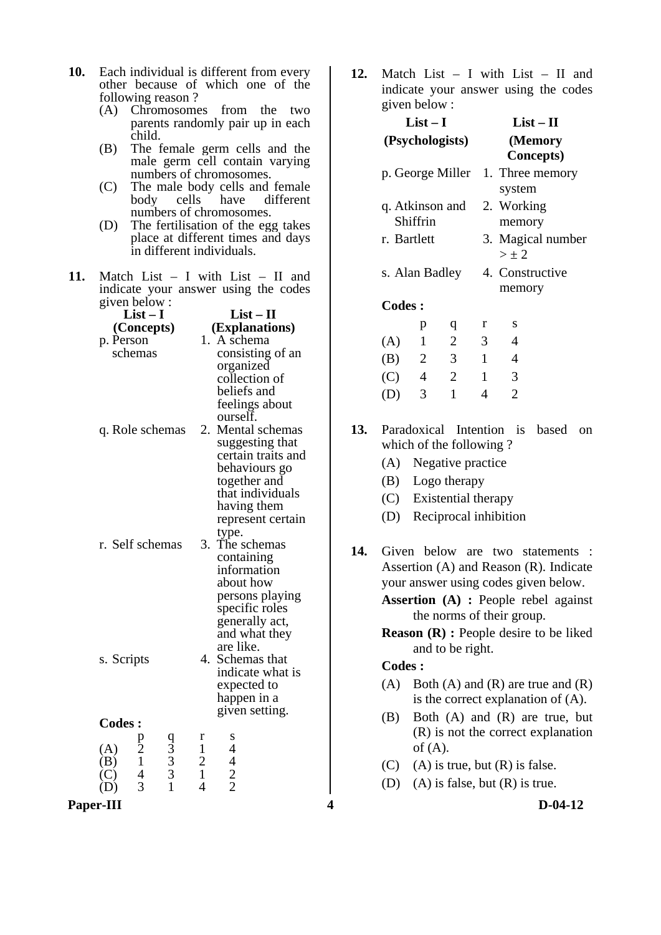- **10.** Each individual is different from every other because of which one of the following reason ?
	- (A) Chromosomes from the two parents randomly pair up in each child.
	- (B) The female germ cells and the male germ cell contain varying numbers of chromosomes.
	- (C) The male body cells and female body cells have different numbers of chromosomes.
	- (D) The fertilisation of the egg takes place at different times and days in different individuals.
- **11.** Match List I with List II and indicate your answer using the codes given below :

|               | $List-I$          |                            |              | $List-II$                                       |  |  |  |  |
|---------------|-------------------|----------------------------|--------------|-------------------------------------------------|--|--|--|--|
|               | (Concepts)        |                            |              | (Explanations)                                  |  |  |  |  |
| p. Person     |                   |                            |              | 1. A schema                                     |  |  |  |  |
|               | schemas           |                            |              | consisting of an                                |  |  |  |  |
|               |                   |                            |              | organized                                       |  |  |  |  |
|               |                   |                            |              | collection of                                   |  |  |  |  |
|               |                   |                            |              | beliefs and                                     |  |  |  |  |
|               |                   |                            |              | feelings about                                  |  |  |  |  |
|               |                   |                            |              | ourself.                                        |  |  |  |  |
|               | q. Role schemas   |                            | 2.           | Mental schemas                                  |  |  |  |  |
|               |                   |                            |              | suggesting that                                 |  |  |  |  |
|               |                   |                            |              | certain traits and                              |  |  |  |  |
|               |                   |                            |              | behaviours go                                   |  |  |  |  |
|               |                   |                            |              |                                                 |  |  |  |  |
|               |                   |                            |              | together and<br>that individuals                |  |  |  |  |
|               |                   |                            |              |                                                 |  |  |  |  |
|               |                   |                            |              | having them                                     |  |  |  |  |
|               |                   |                            |              | represent certain                               |  |  |  |  |
|               |                   |                            |              | type.                                           |  |  |  |  |
|               | r. Self schemas   |                            | 3.           | The schemas                                     |  |  |  |  |
|               |                   |                            |              | containing                                      |  |  |  |  |
|               |                   |                            |              | information                                     |  |  |  |  |
|               |                   |                            |              | about how                                       |  |  |  |  |
|               |                   |                            |              | persons playing                                 |  |  |  |  |
|               |                   |                            |              | specific roles                                  |  |  |  |  |
|               |                   |                            |              | generally act,                                  |  |  |  |  |
|               |                   |                            |              | and what they                                   |  |  |  |  |
|               |                   |                            |              | are like.                                       |  |  |  |  |
| s. Scripts    |                   |                            | 4.           | Schemas that                                    |  |  |  |  |
|               |                   |                            |              | indicate what is                                |  |  |  |  |
|               |                   |                            |              | expected to                                     |  |  |  |  |
|               |                   |                            |              | happen in a                                     |  |  |  |  |
|               |                   |                            |              | given setting.                                  |  |  |  |  |
| <b>Codes:</b> |                   |                            |              |                                                 |  |  |  |  |
|               |                   |                            | r            | s                                               |  |  |  |  |
| (A)           | $\frac{p}{2}$ 1 4 |                            | $\mathbf{1}$ |                                                 |  |  |  |  |
| B)            |                   |                            |              |                                                 |  |  |  |  |
|               |                   | $\frac{93}{3}$ 3<br>3<br>1 | 1            | $\begin{array}{c} 4 \\ 4 \\ 2 \\ 2 \end{array}$ |  |  |  |  |
|               | 3                 |                            | 4            |                                                 |  |  |  |  |

**Paper-III** D-04-12

**12.** Match List – I with List – II and indicate your answer using the codes given below :

|               | $List-I$       |                         |                | $List - II$                      |
|---------------|----------------|-------------------------|----------------|----------------------------------|
|               |                | (Psychologists)         |                | (Memory                          |
|               |                |                         |                | <b>Concepts</b> )                |
|               |                |                         |                | p. George Miller 1. Three memory |
|               |                |                         |                | system                           |
|               |                | q. Atkinson and         |                | 2. Working                       |
|               | Shiffrin       |                         |                | memory                           |
| r. Bartlett   |                |                         |                | 3. Magical number                |
|               |                |                         |                | $>\pm 2$                         |
|               |                | s. Alan Badley          |                | 4. Constructive                  |
|               |                |                         |                | memory                           |
| <b>Codes:</b> |                |                         |                |                                  |
|               | p              | q                       | r              | S                                |
| (A)           | 1              | 2                       | 3 <sup>1</sup> | 4                                |
| (B)           | $\overline{2}$ | $\overline{\mathbf{3}}$ | $\overline{1}$ | 4                                |
| $(C)$ 4       |                | $\overline{2}$          | $\mathbf{1}$   | 3                                |
| (D)           | 3              | $\mathbf{1}$            | 4              | $\overline{2}$                   |
|               |                |                         |                |                                  |

**13.** Paradoxical Intention is based on which of the following ?

- (A) Negative practice
- (B) Logo therapy
- (C) Existential therapy
- (D) Reciprocal inhibition
- **14.** Given below are two statements : Assertion (A) and Reason (R). Indicate your answer using codes given below.
	- **Assertion (A) :** People rebel against the norms of their group.
	- **Reason (R) : People desire to be liked** and to be right.

## **Codes :**

- (A) Both (A) and (R) are true and  $(R)$ is the correct explanation of (A).
- (B) Both (A) and (R) are true, but (R) is not the correct explanation of  $(A)$ .
- (C) (A) is true, but  $(R)$  is false.
- (D) (A) is false, but  $(R)$  is true.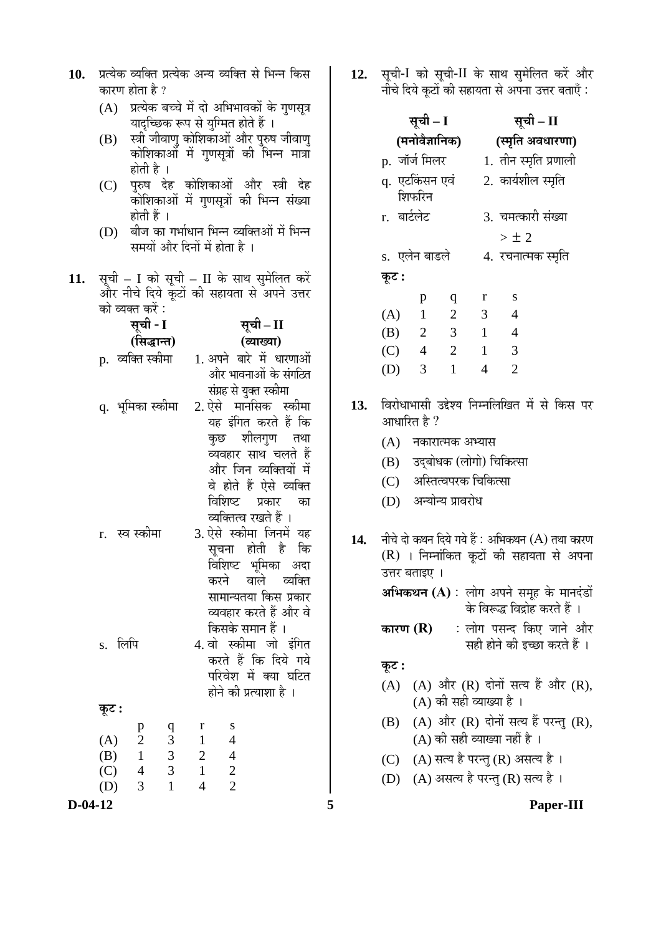- 10. प्रत्येक व्यक्ति प्रत्येक अन्य व्यक्ति से भिन्न किस कारण होता है ?
	- $(A)$  प्रत्येक बच्चे में दो अभिभावकों के गणसूत्र यादच्छिक रूप से युग्मित होते हैं ।
	- $(B)$  स्त्री जीवाणु कोशिकाओं और पुरुष जीवाणु कोशिकाओँ में गणसूत्रों की भिन्न मात्रा होती है ।
	- (C) पुरुष देह कोशिकाओं और स्त्री देह ँकोशिकाओं में गणसूत्रों की भिन्न संख्या होती हैं ।
	- (D) बीज का गर्भाधान भिन्न व्यक्तिओं में भिन्न समयों और दिनों में होता है ।
- 11. सूची I को सूची II के साथ सुमेलित करें और नीचे दिये कूटों की सहायता से अपने उत्तर  $\overrightarrow{a}$  को व्यक्त करें :

| सूची - I                   |                                                     | सूची – II                                                                                                                                                                            |                                                                                                                                               |     | (4)                                                                                                                                                                         | $\mathbf{r}$                                                                                                                                                  | ∽                                   | $\overline{\phantom{a}}$ |                                   |                                                                                          |
|----------------------------|-----------------------------------------------------|--------------------------------------------------------------------------------------------------------------------------------------------------------------------------------------|-----------------------------------------------------------------------------------------------------------------------------------------------|-----|-----------------------------------------------------------------------------------------------------------------------------------------------------------------------------|---------------------------------------------------------------------------------------------------------------------------------------------------------------|-------------------------------------|--------------------------|-----------------------------------|------------------------------------------------------------------------------------------|
| (सिद्धान्त)                |                                                     | (व्याख्या)                                                                                                                                                                           |                                                                                                                                               |     | (B)                                                                                                                                                                         | 2                                                                                                                                                             | 3                                   | $\mathbf{1}$             | $\overline{4}$                    |                                                                                          |
| p. व्यक्ति स्कीमा          |                                                     | 1. अपने बारे में धारणाओं<br>और भावनाओं के संगठित                                                                                                                                     |                                                                                                                                               |     | (C)<br>(D)                                                                                                                                                                  | 3                                                                                                                                                             | $4 \quad 2 \quad 1$<br>$\mathbf{1}$ | $\overline{4}$           | 3<br>$\overline{2}$               |                                                                                          |
| q. भूमिका स्कीमा           |                                                     | संग्रह से युक्त स्कीमा                                                                                                                                                               | 2. ऐसे मानसिक स्कीमा<br>यह इंगित करते हैं कि<br>कुछ शीलगुण<br>तथा<br>व्यवहार साथ चलते हैं<br>और जिन व्यक्तियों में<br>वे होते हैं ऐसे व्यक्ति |     |                                                                                                                                                                             | विरोधाभासी उद्देश्य निम्नलिखित में से किस प<br>13.<br>आधारित है ?<br>(A)<br>नकारात्मक अभ्यास<br>उद्बोधक (लोगो) चिकित्सा<br>(B)<br>अस्तित्वपरक चिकित्सा<br>(C) |                                     |                          |                                   |                                                                                          |
| r. स्व स्कीमा              |                                                     | विशिष्ट<br>प्रकार<br>व्यक्तित्व रखते हैं ।<br>3. ऐसे स्कीमा जिनमें यह<br>सूचना होती है<br>विशिष्ट भूमिका अदा<br>करने वाले व्यक्ति<br>सामान्यतया किस प्रकार<br>व्यवहार करते हैं और वे | का<br>कि                                                                                                                                      | 14. | अन्योन्य प्रावरोध<br>(D)<br>नीचे दो कथन दिये गये हैं : अभिकथन (A) तथा कार<br>(R) । निम्नांकित कूटों की सहायता से अप<br>उत्तर बताइए ।<br>अभिकथन (A) : लोग अपने समूह के मानदं |                                                                                                                                                               |                                     |                          |                                   | के विरूद्ध विद्रोह करते हैं ।                                                            |
| s. लिपि                    |                                                     | किसके समान हैं ।<br>4. वो स्कीमा जो इंगित<br>करते हैं कि दिये गये<br>परिवेश में क्या घटित<br>होने की प्रत्याशा है ।                                                                  |                                                                                                                                               |     | कारण $(R)$<br>कूट :<br>(A)                                                                                                                                                  |                                                                                                                                                               |                                     | (A) की सही व्याख्या है । |                                   | : लोग पसन्द किए जाने अँ<br>सही होने की इच्छा करते हैं<br>(A) और (R) दोनों सत्य हैं और (R |
| कूट :                      |                                                     |                                                                                                                                                                                      |                                                                                                                                               |     |                                                                                                                                                                             |                                                                                                                                                               |                                     |                          |                                   |                                                                                          |
| p<br>$\mathbf{2}$<br>(A)   | r<br>q<br>$\mathfrak{Z}$<br>$\mathbf{1}$            | S<br>$\overline{4}$                                                                                                                                                                  |                                                                                                                                               |     | (B)                                                                                                                                                                         |                                                                                                                                                               |                                     |                          | (A) की सही व्याख्या नहीं है ।     | (A) और (R) दोनों सत्य हैं परन्तु (R                                                      |
| (B)<br>$\mathbf{1}$        | $\mathfrak{Z}$<br>$\overline{\phantom{a}}$          | $\overline{4}$                                                                                                                                                                       |                                                                                                                                               |     | (C)                                                                                                                                                                         |                                                                                                                                                               |                                     |                          | (A) सत्य है परन्तु (R) असत्य है । |                                                                                          |
| (C)<br>$\overline{4}$<br>3 | 3<br>$\mathbf{1}$<br>$\overline{4}$<br>$\mathbf{1}$ | $\overline{c}$<br>$\overline{2}$                                                                                                                                                     |                                                                                                                                               |     | (D)                                                                                                                                                                         |                                                                                                                                                               |                                     |                          | (A) असत्य है परन्तु (R) सत्य है । |                                                                                          |
| (D)<br>$D-04-12$           |                                                     |                                                                                                                                                                                      |                                                                                                                                               | 5   |                                                                                                                                                                             |                                                                                                                                                               |                                     |                          |                                   | Paper-III                                                                                |
|                            |                                                     |                                                                                                                                                                                      |                                                                                                                                               |     |                                                                                                                                                                             |                                                                                                                                                               |                                     |                          |                                   |                                                                                          |

12. सूची-I को सूची-II के साथ सुमेलित करें और नीचे दिये कटों की सहायता से अपना उत्तर बताएँ :

|               | सूची – I                  |                         | सूची – II        |                       |  |  |  |
|---------------|---------------------------|-------------------------|------------------|-----------------------|--|--|--|
|               | (मनोवैज्ञानिक)            |                         | (स्मृति अवधारणा) |                       |  |  |  |
| p. जॉर्ज मिलर |                           |                         |                  | 1. तीन स्मृति प्रणाली |  |  |  |
|               | q.  एटकिंसन एवं<br>शिफरिन |                         |                  | 2. कार्यशील स्मृति    |  |  |  |
| r. बार्टलेट   |                           |                         |                  | 3. चमत्कारी संख्या    |  |  |  |
|               |                           |                         |                  | $>\pm~2$              |  |  |  |
| s. एलेन बाडले |                           |                         |                  | 4.  रचनात्मक स्मृति   |  |  |  |
| कूट :         |                           |                         |                  |                       |  |  |  |
|               | p                         | q                       | r                | S                     |  |  |  |
| (A)           | $\overline{1}$            | <sup>2</sup>            | 3                | $\overline{4}$        |  |  |  |
| (B)           | $\overline{2}$            | $\overline{\mathbf{3}}$ | $\overline{1}$   | $\overline{4}$        |  |  |  |
| (C)           | $\overline{4}$            | $\overline{2}$          | $\overline{1}$   | $\overline{3}$        |  |  |  |
| (D)           | 3                         | 1                       | 4                | $\overline{2}$        |  |  |  |
|               |                           |                         |                  |                       |  |  |  |

- 13. विरोधाभासी उद्देश्य निम्नलिखित में से किस पर आधारित है ?
	- $(A)$  नकारात्मक अभ्यास
	- (B) उदबोधक (लोगो) चिकित्सा
	- (C) अस्तित्वपरक चिकित्सा
	- (D) अन्योन्य प्रावरोध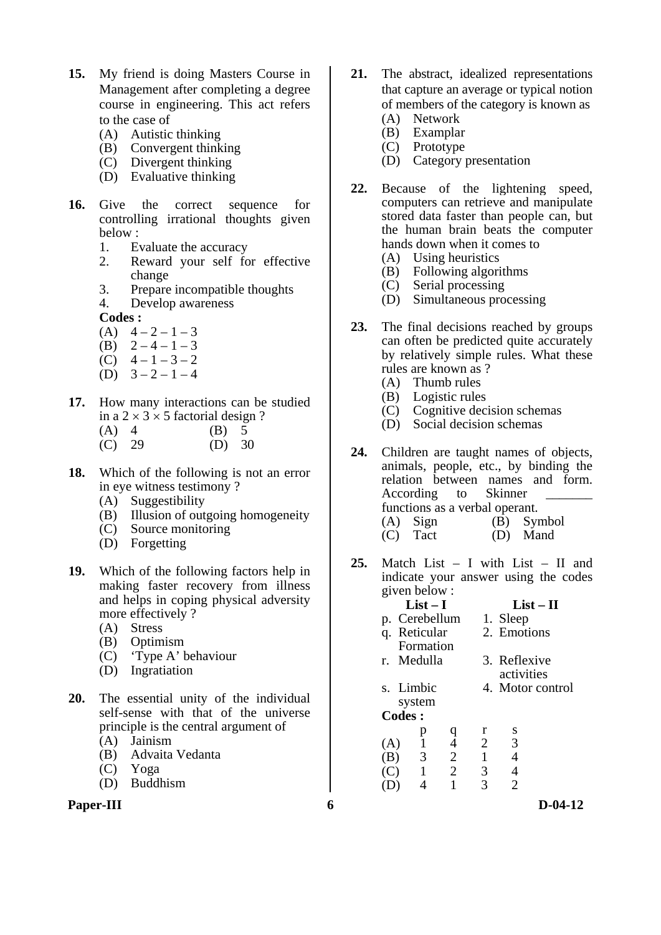- **15.** My friend is doing Masters Course in Management after completing a degree course in engineering. This act refers to the case of
	- (A) Autistic thinking
- (B) Convergent thinking
- (C) Divergent thinking
	- (D) Evaluative thinking
- **16.** Give the correct sequence for controlling irrational thoughts given below :
	- 1. Evaluate the accuracy
	- 2. Reward your self for effective change
	- 3. Prepare incompatible thoughts
	- 4. Develop awareness

**Codes :** 

- (A)  $4-2-1-3$
- (B)  $2-4-1-3$
- (C)  $4-1-3-2$
- $(D)$  3 2 1 4
- **17.** How many interactions can be studied in a  $2 \times 3 \times 5$  factorial design ?
	- (A)  $\begin{matrix} 4 \\ 4 \end{matrix}$  (B)  $\begin{matrix} 5 \\ 30 \end{matrix}$
	- $(C) 29$
- **18.** Which of the following is not an error in eye witness testimony ?
	- (A) Suggestibility
	- (B) Illusion of outgoing homogeneity
	- (C) Source monitoring
	- (D) Forgetting
- **19.** Which of the following factors help in making faster recovery from illness and helps in coping physical adversity more effectively ?
	- (A) Stress
	- (B) Optimism
	- (C) 'Type A' behaviour
	- (D) Ingratiation
- **20.** The essential unity of the individual self-sense with that of the universe principle is the central argument of
	- (A) Jainism
	- (B) Advaita Vedanta
	- (C) Yoga
	- (D) Buddhism

## **Paper-III b**-04-12

- **21.** The abstract, idealized representations that capture an average or typical notion of members of the category is known as
	- (A) Network
	- (B) Examplar
	- (C) Prototype
	- (D) Category presentation
- **22.** Because of the lightening speed, computers can retrieve and manipulate stored data faster than people can, but the human brain beats the computer hands down when it comes to
	- (A) Using heuristics
	- (B) Following algorithms
	- (C) Serial processing
	- (D) Simultaneous processing
- **23.** The final decisions reached by groups can often be predicted quite accurately by relatively simple rules. What these rules are known as ?
	- (A) Thumb rules
	- (B) Logistic rules
	- (C) Cognitive decision schemas
	- (D) Social decision schemas
- **24.** Children are taught names of objects, animals, people, etc., by binding the relation between names and form. According to Skinner functions as a verbal operant. (A) Sign (B) Symbol<br>(C) Tact (D) Mand  $(D)$  Mand
- **25.** Match List I with List II and indicate your answer using the codes given below :

|     |               | $List-I$      |                |                |          | $List - II$      |  |
|-----|---------------|---------------|----------------|----------------|----------|------------------|--|
|     |               | p. Cerebellum |                |                | 1. Sleep |                  |  |
|     |               | q. Reticular  |                |                |          | 2. Emotions      |  |
|     |               | Formation     |                |                |          |                  |  |
|     |               | r. Medulla    |                |                |          | 3. Reflexive     |  |
|     |               |               |                |                |          | activities       |  |
|     |               | s. Limbic     |                |                |          | 4. Motor control |  |
|     |               | system        |                |                |          |                  |  |
|     | <b>Codes:</b> |               |                |                |          |                  |  |
|     |               | р             | q              | r              |          | S                |  |
| (A) |               |               | $\overline{4}$ | $\overline{2}$ |          | 3                |  |
| (B) |               | 3             | $\overline{2}$ | 1              |          | 4                |  |
| (C) |               | $\mathbf{1}$  | $\overline{2}$ | 3              |          | 4                |  |
|     |               |               |                | 3              |          | 2                |  |
|     |               |               |                |                |          |                  |  |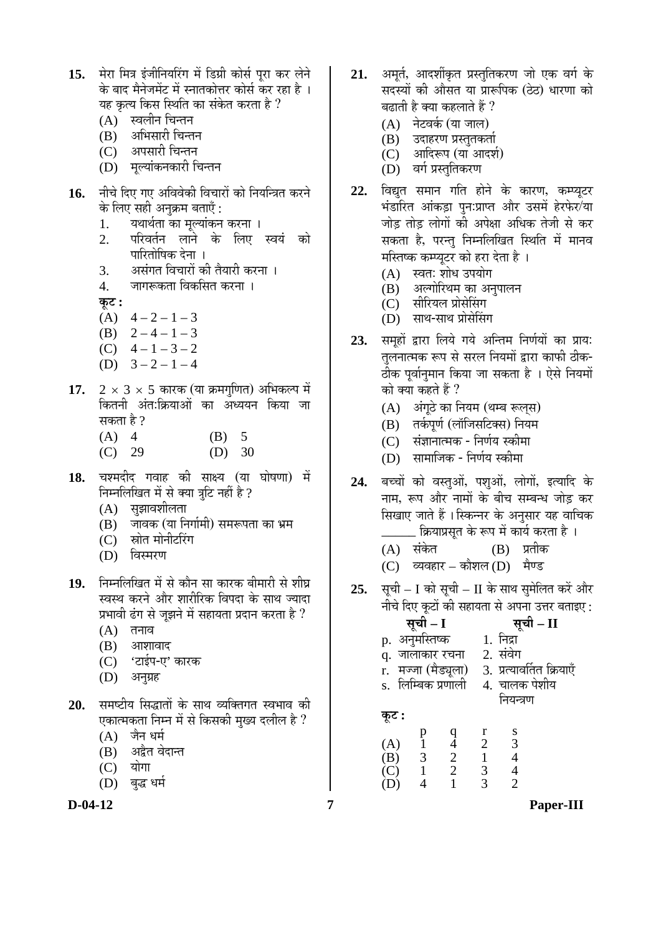- 15. <sup>मेरा मित्र इंजीनियरिंग में डिग्री कोर्स परा कर लेने</sup> के बाद मैनेजमेंट में स्नातकोत्तर कोर्स कर रहा है । यह कृत्य किस स्थिति का संकेत करता है ?
	- $(A)$  स्वलीन चिन्तन
	- (B) अभिसारी चिन्तन
	- (C) अपसारी चिन्तन
	- (D) मल्यांकनकारी चिन्तन
- 16. नीचे दिए गए अविवेकी विचारों को नियन्त्रित करने के लिए सही अनुक्रम बताएँ :
	- 1. यथार्थता का मूल्यांकन करना ।<br>2. परिवर्तन लाने के लिए
	- परिवर्तन लाने के लिए स्वयं को पारितोषिक देना ।
	- 3. असंगत विचारों की तैयारी करना ।<br>4. जागरूकता विकसित करना ।
	- जागरूकता विकसित करना ।

 $\overline{\Phi}$ :

- (A)  $4-2-1-3$
- (B)  $2-4-1-3$
- (C)  $4-1-3-2$
- (D)  $3-2-1-4$
- **17.**  $2 \times 3 \times 5$  कारक (या क्रमगुणित) अभिकल्प में कितनी अंत:क्रियाओं का अध्ययन किया जा सकता है  $\overline{?}$ 
	- (A) 4 (B) 5
	- (C) 29 (D) 30
- 18. चश्मदीद गवाह की साक्ष्य (या घोषणा) में निम्नलिखित में से क्या त्रूटि नहीं है ?
	- $(A)$  सुझावशीलता
	- (B) जावक (या निर्गामी) समरूपता का भ्रम
	- (C) स्रोत मोनीटरिंग
	- (D) विस्मरण
- 19. निम्नलिखित में से कौन सा कारक बीमारी से शीघ्र स्वस्थ करने और शारीरिक विपदा के साथ ज्यादा प्रभावी ढंग से जुझने में सहायता प्रदान करता है ?
	- $(A)$  तनाव
	- $(B)$  आशावाद
	- (C) 'टाईप-ए' कारक
	- (D) अनुग्रह
- **20.** समष्टीय सिद्धातों के साथ व्यक्तिगत स्वभाव की एकात्मकता निम्न में से किसकी मुख्य दलील है ?
	- $(A)$  जैन धर्म
	- (B) अद्वैत वेदान्त
	- $(C)$  योगा
	- (D) बुद्ध धर्म

- 21. अमर्त, आदर्शीकृत प्रस्तुतिकरण जो एक वर्ग के सदस्यों की औसत या प्रारूपिक (ठेठ) धारणा को बढ़ाती है क्या कहलाते हैं ?
	- (A) नेटवर्क (या जाल)
	- (B) उदाहरण प्रस्तुतकर्ता
	- (C) आदिरूप (या आदर्श)
	- (D) वर्ग प्रस्ततिकरण
- 22. विद्युत समान गति होने के कारण, कम्प्यूटर भंडारित आंकड़ा पुन:प्राप्त और उसमें हेरफेर/या जोड तोड लोगों की अपेक्षा अधिक तेजी से कर सकता है, परन्त निम्नलिखित स्थिति में मानव मस्तिष्क कम्प्यूटर को हरा देता है ।
	- (A) स्वतः शोध उपयोग<br>(B) अल्गोरिथम का अ
	- अल्गोरिथम का अनपालन
	- (C) सीरियल प्रोसेसिंग
	- (D) साथ-साथ प्रोसेसिंग
- 23. समूहों द्वारा लिये गये अन्तिम निर्णयों का प्राय: तुलनात्मक रूप से सरल नियमों द्वारा काफी ठीक-ठीक पूर्वानुमान किया जा सकता है । ऐसे नियमों को क्या कहते हैं ?
	- (A) अंगठे का नियम (थम्ब रूलस)
	- (B) तर्कपूर्ण (लॉजिसटिक्स) नियम
	- (C) संज्ञानात्मक निर्णय स्कीमा
	- (D) सामाजिक निर्णय स्कीमा
- 24. बच्चों को वस्तओं, पशओं, लोगों, इत्यादि के नाम, रूप और नामों के बीच सम्बन्ध जोड़ कर सिखाए जाते हैं ।स्किन्नर के अनुसार यह वाचिक \_ क्रियाप्रसत के रूप में कार्य करता है ।
	- (A) संकेत (B) प्रतीक
	- $(C)$  व्यवहार कौशल $(D)$  मैण्ड
- **25.** सची I को सची II के साथ समेलित करें और नीचे दिए कटों की सहायता से अपना उत्तर बताइए $\cdot$

|                        | $\mu$ and $\lambda$ and $\mu$ and $\mu$ and $\mu$ and $\mu$ and $\mu$ |
|------------------------|-----------------------------------------------------------------------|
| सूची – I               | सूची – II                                                             |
| p. अनुमस्तिष्क         | 1. निद्रा                                                             |
| q. जालाकार रचना        | 2. संवेग                                                              |
| मज्जा (मैड्यूला)<br>r. | 3. प्रत्यावर्तित क्रियाएँ                                             |
| s. लिम्बिक प्रणाली     | 4. चालक पेशीय                                                         |
|                        | नियन्त्रण                                                             |
|                        |                                                                       |

**Ûæú™ü :** 

|     | I) | a |   |               |
|-----|----|---|---|---------------|
| (A) |    |   | 2 | $\mathcal{R}$ |
| (B) | 3  | 2 |   |               |
| (C) |    | 2 | 3 |               |
| (D) |    |   | 3 |               |

**D-04-12 7 Paper-III**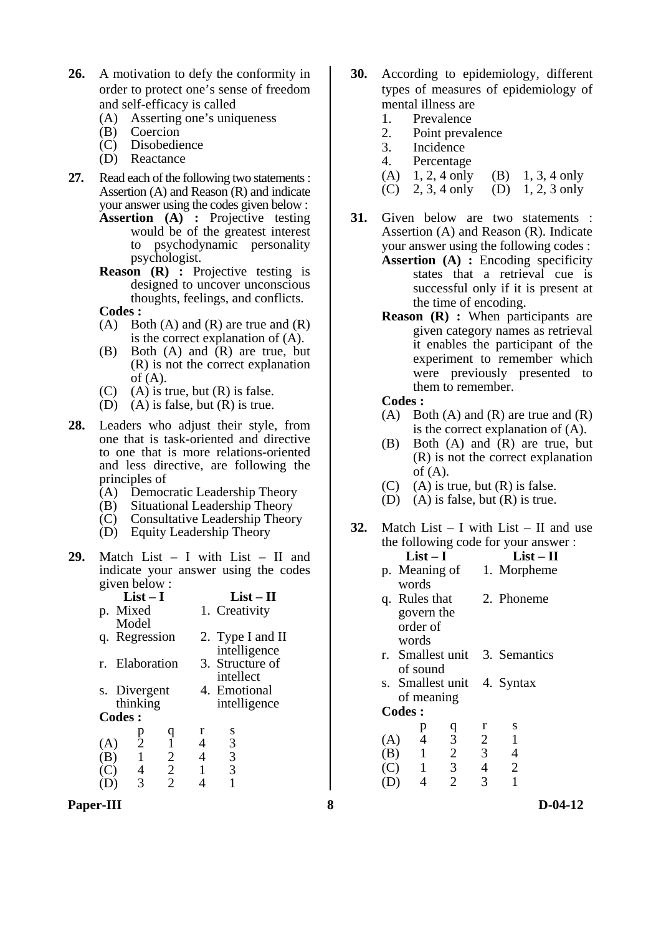- **26.** A motivation to defy the conformity in order to protect one's sense of freedom and self-efficacy is called
	- (A) Asserting one's uniqueness
	- (B) Coercion
	- (C) Disobedience
	- (D) Reactance
- **27.** Read each of the following two statements : Assertion (A) and Reason (R) and indicate your answer using the codes given below :
	- Assertion (A) : Projective testing would be of the greatest interest to psychodynamic personality psychologist.
	- **Reason** (**R**) : Projective testing is designed to uncover unconscious thoughts, feelings, and conflicts.
	- **Codes :**
	- (A) Both (A) and (R) are true and  $(R)$ is the correct explanation of (A).
	- (B) Both (A) and (R) are true, but (R) is not the correct explanation of  $(A)$ .
	- $(C)$  (A) is true, but  $(R)$  is false.
	- (D) (A) is false, but  $(R)$  is true.
- 28. Leaders who adjust their style, from one that is task-oriented and directive to one that is more relations-oriented and less directive, are following the principles of
	- (A) Democratic Leadership Theory
	- (B) Situational Leadership Theory
	- (C) Consultative Leadership Theory
	- (D) Equity Leadership Theory
- **29.** Match List I with List II and indicate your answer using the codes given below :

| p. Mixed<br>1. Creativity                  |  |
|--------------------------------------------|--|
| Model                                      |  |
| q. Regression<br>2. Type I and II          |  |
| intelligence                               |  |
| 3. Structure of<br>Elaboration<br>r.       |  |
| intellect                                  |  |
| 4. Emotional<br>s. Divergent               |  |
| thinking<br>intelligence                   |  |
| <b>Codes:</b>                              |  |
| r<br>S<br>Ч<br>р                           |  |
| $\overline{2}$<br>3<br>$\mathbf{1}$<br>(A) |  |
| 3<br>$\overline{2}$<br>$\mathbf{1}$<br>(B) |  |
| 3<br>$\overline{2}$<br>4<br>(C)            |  |
| $\overline{2}$<br>3                        |  |

**Paper-III 8 D-04-12** 

- **30.** According to epidemiology, different types of measures of epidemiology of mental illness are
	- 1. Prevalence<br>2. Point preva
	- Point prevalence
	- 3. Incidence
	- 4. Percentage
	- (A) 1, 2, 4 only (B) 1, 3, 4 only
	- (C) 2, 3, 4 only (D) 1, 2, 3 only
- **31.** Given below are two statements : Assertion (A) and Reason (R). Indicate your answer using the following codes : **Assertion (A) :** Encoding specificity states that a retrieval cue is
	- successful only if it is present at the time of encoding.
	- **Reason** (**R**) : When participants are given category names as retrieval it enables the participant of the experiment to remember which were previously presented to them to remember.
	- **Codes :**
	- (A) Both (A) and (R) are true and  $(R)$ is the correct explanation of (A).
	- (B) Both (A) and (R) are true, but (R) is not the correct explanation of  $(A)$ .
	- (C) (A) is true, but  $(R)$  is false.
	- (D) (A) is false, but (R) is true.
- **32.** Match List I with List II and use the following code for your answer :<br> $\mathbf{I} \cdot \mathbf{I} = \mathbf{I}$ List – II

|     | ⊷                             |                |                | ⊷              |  |
|-----|-------------------------------|----------------|----------------|----------------|--|
|     | p. Meaning of 1. Morpheme     |                |                |                |  |
|     | words                         |                |                |                |  |
|     | q. Rules that                 |                |                | 2. Phoneme     |  |
|     | govern the                    |                |                |                |  |
|     | order of                      |                |                |                |  |
|     | words                         |                |                |                |  |
|     | r. Smallest unit 3. Semantics |                |                |                |  |
|     | of sound                      |                |                |                |  |
|     | s. Smallest unit 4. Syntax    |                |                |                |  |
|     | of meaning                    |                |                |                |  |
|     | <b>Codes:</b>                 |                |                |                |  |
|     | p                             |                | r              | S              |  |
| (A) | $\overline{4}$                | $\frac{q}{3}$  | $\overline{2}$ | $\mathbf{1}$   |  |
|     | $\sim 1$<br>(B)               | $\overline{c}$ | 3 <sup>7</sup> | 4              |  |
| C)  | $\overline{1}$                | 3              |                | $\overline{2}$ |  |

(D) 4 2 3 1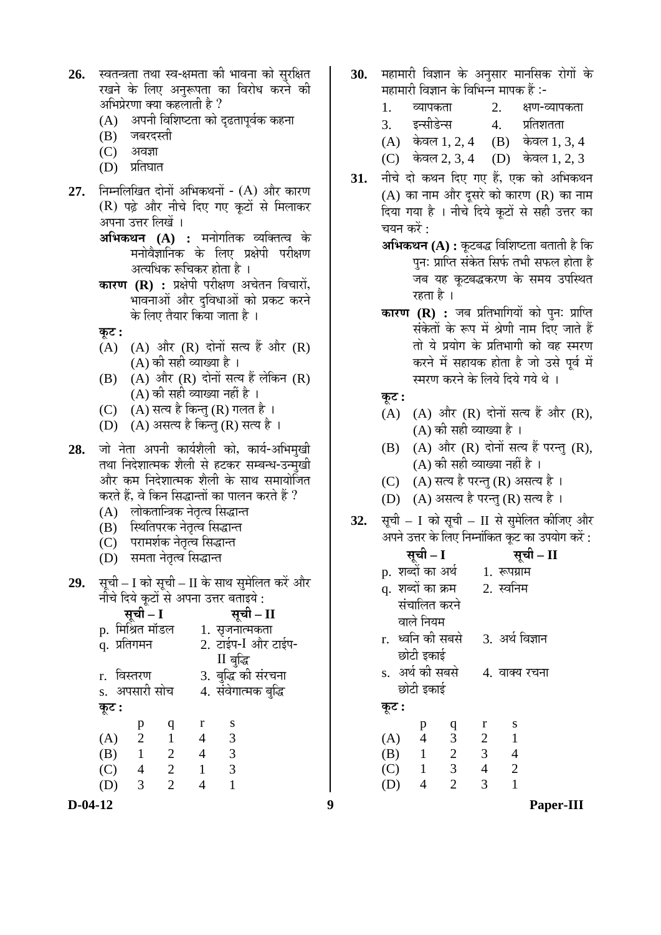| $26.$ स्वतन्त्रता तथा स्व-क्षमता की भावना को सुरक्षित |  |
|-------------------------------------------------------|--|
| रखने के लिए अनुरूपता का विरोध करने की                 |  |
| अभिप्रेरणा क्या कहलाती है ?                           |  |
|                                                       |  |

- $(A)$  । अपनी विशिष्टता को दढतापर्वक कहना
- (B) जबरदस्ती
- (C) अवज्ञा
- $(D)$  प्रतिघात
- **27.** निम्नलिखित दोनों अभिकथनों (A) और कारण (R) पढ़े और नीचे दिए गए कूटों से मिलाकर अपना उत्तर लिखें ।
	- **अभिकथन (A) :** मनोगतिक व्यक्तित्व के मनोवैज्ञानिक के लिए प्रक्षेपी परीक्षण अत्यधिक रूचिकर होता है ।
	- **कारण (R) :** प्रक्षेपी परीक्षण अचेतन विचारों, भावनाओं और दुविधाओं को प्रकट करने के लिए तैयार किया जाता है ।

 $\overline{3}$ :

- (A) (A) और (R) दोनों सत्य हैं और  $(R)$ (A) की सही व्याख्या है ।
- $(B)$   $(A)$  और  $(R)$  दोनों सत्य हैं लेकिन  $(R)$ (A) की सही व्याख्या नहीं है ।
- (C)  $(A)$  सत्य है किन्तु (R) गलत है ।
- (D)  $(A)$  असत्य है किन्तु (R) सत्य है ।
- 28. जो नेता अपनी कार्यशैली को, कार्य-अभिमुखी तथा निदेशात्मक शैली से हटकर सम्बन्ध-उन्मुखी और कम निदेशात्मक शैली के साथ समायोजित करते हैं, वे किन सिद्धान्तों का पालन करते हैं ?
	- (A) लोकतान्त्रिक नेतृत्व सिद्धान्त
	- (B) स्थितिपरक नेतृत्व सिद्धान्त
	- (C) परामर्शक नेतृत्व सिद्धान्त
	- (D) समता नेतृत्व सिद्धान्त
- 29. सूची I को सूची II के साथ सुमेलित करें और <u>नीचे दिये कूटों से अपना उत्तर बताइये :</u>

| <b>सूची – I</b><br>p.  मिश्रित मॉडल |                |                | सूची – II            |                         |  |  |  |
|-------------------------------------|----------------|----------------|----------------------|-------------------------|--|--|--|
|                                     |                |                |                      | 1. सृजनात्मकता          |  |  |  |
| .<br>q. प्रतिगमन                    |                |                | 2. टाईप-I और टाईप-   |                         |  |  |  |
|                                     |                |                |                      | II बुद्धि               |  |  |  |
| r. विस्तरण                          |                |                |                      | 3. बुद्धि की संरचना     |  |  |  |
|                                     | s. अपसारी सोच  |                | 4. संवेगात्मक बुद्धि |                         |  |  |  |
| कूट :                               |                |                |                      |                         |  |  |  |
|                                     | p              | q              | $\bf r$              | S                       |  |  |  |
| (A)                                 | $\overline{2}$ |                | 4                    | 3                       |  |  |  |
| (B)                                 | $\overline{1}$ | 2              | $\overline{4}$       | $\overline{\mathbf{3}}$ |  |  |  |
| (C)                                 | 4              | 2              | $\mathbf{1}$         | 3                       |  |  |  |
| (D)                                 | 3              | $\overline{2}$ |                      |                         |  |  |  |
|                                     |                |                |                      |                         |  |  |  |

- 30. महामारी विज्ञान के अनसार मानसिक रोगों के महामारी विज्ञान के विभिन्न मापक हैं :-
	- 1. व्यापकता 2. क्षण-व्यापकता
	- 3. इन्सीडेन्स 4. प्रतिशतता
	- $(A)$  केवल 1, 2, 4  $(B)$  केवल 1, 3, 4

(C) केवल 2, 3, 4 (D) केवल 1, 2, 3

- 31. नीचे दो कथन दिए गए हैं, एक को अभिकथन  $(A)$  का नाम और दुसरे को कारण  $(R)$  का नाम हिया गया है । नीचे दिये कूटों से सही उत्तर का चयन करें $\cdot$ 
	- **अभिकथन (A) :** कूटबद्ध विशिष्टता बताती है कि पनः प्राप्ति संकेत सिर्फ तभी सफल होता है जब यह कुटबद्धकरण के समय उपस्थित रहता है ।
	- **कारण (R) :** जब प्रतिभागियों को पनः प्राप्ति संकेतों के रूप में श्रेणी नाम दिए जाते हैं तो ये प्रयोग के प्रतिभागी को वह स्मरण करने में सहायक होता है जो उसे पूर्व में स्मरण करने के लिये दिये गये थे ।
	- $\overline{\phi}$ **:**
	- $(A)$   $(A)$  और  $(R)$  दोनों सत्य हैं और  $(R)$ ,  $(A)$  की सही व्याख्या है ।
	- $(B)$   $(A)$  और  $(R)$  दोनों सत्य हैं परन्तु  $(R)$ , (A) की सही व्याख्या नहीं है ।
	- (C)  $(A)$  सत्य है परन्तु (R) असत्य है।
	- $(D)$   $(A)$  असत्य है परन्तु (R) सत्य है ।
- **32.** सूची I को सूची II से सुमेलित कीजिए और अपने उत्तर के लिए निम्नांकित कूट का उपयोग करें :

|       | सूची – I           |                         |                | सूची – II       |  |
|-------|--------------------|-------------------------|----------------|-----------------|--|
|       | p. शब्दों का अर्थ  |                         |                | 1. रूपग्राम     |  |
|       | q.  शब्दों का क्रम |                         |                | 2. स्वनिम       |  |
|       | संचालित करने       |                         |                |                 |  |
|       | वाले नियम          |                         |                |                 |  |
|       | r. ध्वनि की सबसे   |                         |                | 3. अर्थ विज्ञान |  |
|       | छोटी इकाई          |                         |                |                 |  |
|       | s. अर्थ की सबसे    |                         |                | 4. वाक्य रचना   |  |
|       | छोटी इकाई          |                         |                |                 |  |
| कूट : |                    |                         |                |                 |  |
|       | p                  | q                       | r              | S               |  |
| (A)   | $\overline{4}$     | $\frac{3}{2}$           | $\overline{2}$ | $\overline{1}$  |  |
| (B)   | $\overline{1}$     |                         | $\mathfrak{Z}$ | $\overline{4}$  |  |
| (C) 1 |                    | $\overline{\mathbf{3}}$ | $\overline{4}$ | 2               |  |
| (D)   | 4                  | $\overline{2}$          | 3              | 1               |  |

**D-04-12 9 Paper-III**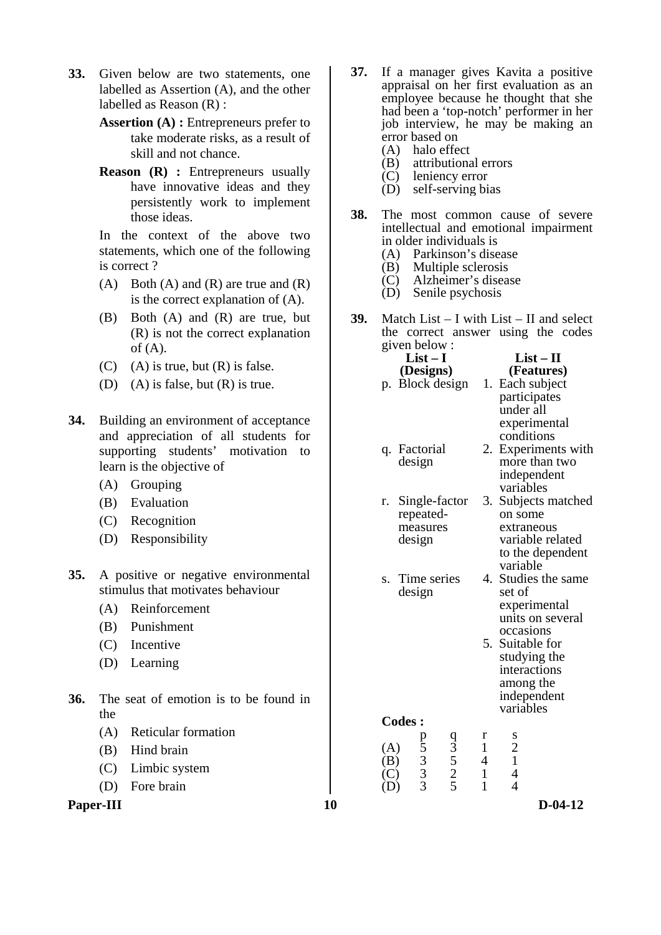- **33.** Given below are two statements, one labelled as Assertion (A), and the other labelled as Reason (R) :
	- **Assertion (A) :** Entrepreneurs prefer to take moderate risks, as a result of skill and not chance.
	- **Reason** (**R**) : Entrepreneurs usually have innovative ideas and they persistently work to implement those ideas.

In the context of the above two statements, which one of the following is correct ?

- (A) Both (A) and (R) are true and  $(R)$ is the correct explanation of (A).
- (B) Both (A) and (R) are true, but (R) is not the correct explanation of  $(A)$ .
- $(C)$  (A) is true, but  $(R)$  is false.
- (D) (A) is false, but  $(R)$  is true.
- **34.** Building an environment of acceptance and appreciation of all students for supporting students' motivation to learn is the objective of
	- (A) Grouping
	- (B) Evaluation
	- (C) Recognition
	- (D) Responsibility
- **35.** A positive or negative environmental stimulus that motivates behaviour
	- (A) Reinforcement
	- (B) Punishment
	- (C) Incentive
	- (D) Learning
- **36.** The seat of emotion is to be found in the
	- (A) Reticular formation
	- (B) Hind brain
	- (C) Limbic system
	- (D) Fore brain

**Paper-III** D-04-12

- **37.** If a manager gives Kavita a positive appraisal on her first evaluation as an employee because he thought that she had been a 'top-notch' performer in her job interview, he may be making an error based on
	- (A) halo effect<br>(B) attributions
	- $(B)$  attributional errors<br>(C) leniency error
	- $(C)$  leniency error<br> $(D)$  self-serving bi
	- self-serving bias
- **38.** The most common cause of severe intellectual and emotional impairment in older individuals is
	- (A) Parkinson's disease
	- (B) Multiple sclerosis
	- (C) Alzheimer's disease
	- (D) Senile psychosis
- **39.** Match List I with List II and select the correct answer using the codes given below :

|            | $List-I$           |                      |                | $List-II$                    |
|------------|--------------------|----------------------|----------------|------------------------------|
|            | (Designs)          |                      |                | (Features)                   |
|            | p. Block design    |                      |                | 1. Each subject              |
|            |                    |                      |                | participates                 |
|            |                    |                      |                | under all                    |
|            |                    |                      |                | experimental<br>conditions   |
| q.         | Factorial          |                      | 2.             | Experiments with             |
|            | design             |                      |                | more than two                |
|            |                    |                      |                | independent                  |
|            |                    |                      |                | variables                    |
| r.         | Single-factor      |                      |                | 3. Subjects matched          |
|            | repeated-          |                      |                | on some                      |
|            | measures           |                      |                | extraneous                   |
|            | design             |                      |                | variable related             |
|            |                    |                      |                | to the dependent<br>variable |
| S.         | Time series        |                      |                | 4. Studies the same          |
|            | design             |                      |                | set of                       |
|            |                    |                      |                | experimental                 |
|            |                    |                      |                | units on several             |
|            |                    |                      |                | occasions                    |
|            |                    |                      |                | 5. Suitable for              |
|            |                    |                      |                | studying the                 |
|            |                    |                      |                | interactions                 |
|            |                    |                      |                | among the                    |
|            |                    |                      |                | independent<br>variables     |
|            | <b>Codes:</b>      |                      |                |                              |
|            |                    |                      | r              | S                            |
| (A)        |                    |                      | $\mathbf{1}$   | $\frac{2}{1}$                |
| (B)        | p 5<br>3<br>3<br>3 | $\frac{93}{5}$ 5 2 5 | $\overline{4}$ |                              |
| (C)<br>(D) |                    |                      | $\mathbf{1}$   | $\overline{\mathcal{A}}$     |
|            |                    |                      | $\mathbf{1}$   | $\overline{4}$               |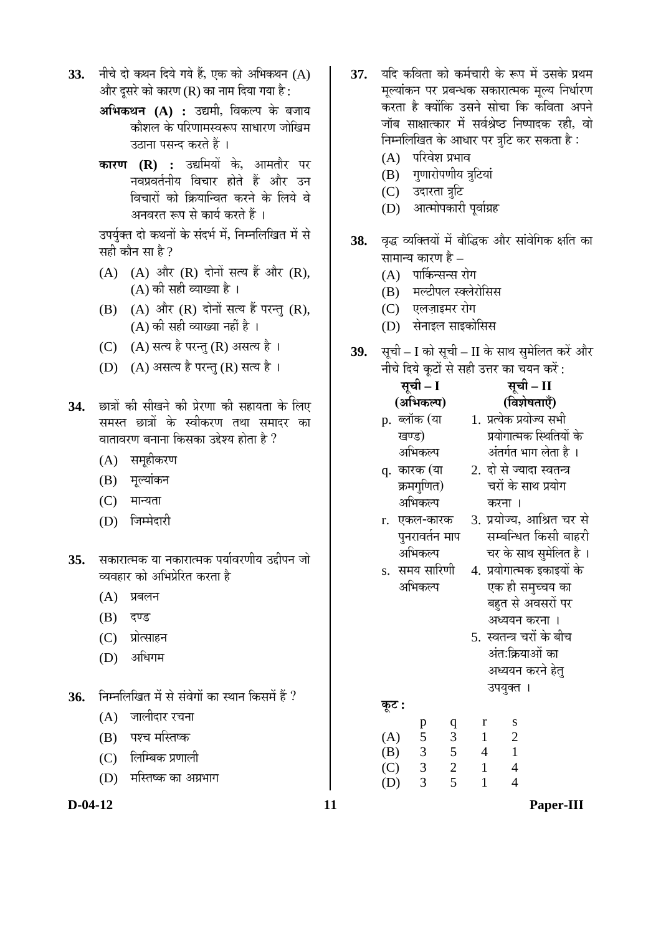- 33. नीचे दो कथन दिये गये हैं, एक को अभिकथन (A) और दुसरे को कारण (R) का नाम दिया गया है:
	- **अभिकथन (A) :** उद्यमी, विकल्प के बजाय कोशल के परिणामस्वरूप साधारण जोखिम उठाना पसन्द करते हैं ।
	- **कारण (R) :** उद्यमियों के, आमतौर पर .<br>नवप्रवर्तनीय विचार होते हैं और उन <u>विचारों को क्रियान्वित करने के लिये वे</u> अनवरत रूप से कार्य करते हैं ।

उपर्युक्त दो कथनों के संदर्भ में, निम्नलिखित में से सही कौन सा है  $\overline{v}$ 

- $(A)$   $(A)$  और  $(R)$  दोनों सत्य हैं और  $(R)$ , (A) की सही व्याख्या है ।
- $(B)$   $(A)$  और  $(R)$  दोनों सत्य हैं परन्तु  $(R)$ ,  $(A)$  की सही व्याख्या नहीं है ।
- (C) (A) सत्य है परन्तु (R) असत्य है।
- (D) (A) असत्य है परन्तु (R) सत्य है।
- 34. छात्रों की सीखने की प्रेरणा की सहायता के लिए समस्त छात्रों के स्वीकरण तथा समादर का <u>वातावरण बनाना किसका उद्देश्य होता है</u> ?
	- (A) समहीकरण
	- (B) मल्यांकन
	- $(C)$  मान्यता
	- (D) जिम्मेदारी
- 35. सकारात्मक या नकारात्मक पर्यावरणीय उद्दीपन जो व्यवहार को अभिप्रेरित करता है
	- $(A)$  प्रबलन
	- (B) दण्ड
	- (C) प्रोत्साहन
	- (D) अधिगम
- 36. FED FED THE THE ASSED THE THE THE THE THE THE THE THE THE STATE THE STATE THE STATE OF THE STATE THE STATE T
	- $(A)$  जालीदार रचना
	- (B) पश्च मस्तिष्क
	- (C) लिम्बिक प्रणाली
	- (D) मस्तिष्क का अग्रभाग
- 37. यदि कविता को कर्मचारी के रूप में उसके प्रथम मल्यांकन पर प्रबन्धक सकारात्मक मल्य निर्धारण करता है क्योंकि उसने सोचा कि कविता अपने <u>जॉब साक्षात्कार में सर्वश्रेष्ठ निष्पादक रही, वो</u> निम्नलिखित के आधार पर त्रटि कर सकता है:
	- $(A)$  परिवेश प्रभाव
	- (B) गुणारोपणीय त्रुटियां
	- (C) उदारता त्रूटि
	- (D) आत्मोपकारी पर्वाग्रह
- 38. वृद्ध व्यक्तियों में बौद्धिक और सांवेगिक क्षति का सामान्य कारण है  $-$ 
	- $(A)$  पार्किन्सन्स रोग
	- (B) मल्टीपल स्क्लेरोसिस
	- (C) एलज़ाइमर रोग
	- (D) सेनाइल साइकोसिस
- 39. सूची I को सूची II के साथ सुमेलित करें और नीचे दिये कूटों से सही उत्तर का चयन करें:

|    | सूची – I |                |                  |                           |              |                | सूची – II                 |                           |
|----|----------|----------------|------------------|---------------------------|--------------|----------------|---------------------------|---------------------------|
|    |          | (अभिकल्प)      |                  |                           |              |                | (विशेषताएँ)               |                           |
|    |          | p. ब्लॉक (या   |                  |                           |              |                | 1. प्रत्येक प्रयोज्य सभी  |                           |
|    | खण्ड)    |                |                  |                           |              |                |                           | प्रयोगात्मक स्थितियों के  |
|    |          | अभिकल्प        |                  |                           |              |                | अंतर्गत भाग लेता है ।     |                           |
|    |          | q. कारक (या    |                  |                           |              |                | 2. दो से ज्यादा स्वतन्त्र |                           |
|    |          | क्रमगुणित)     |                  |                           |              |                | चरों के साथ प्रयोग        |                           |
|    |          | अभिकल्प        |                  |                           | करना ।       |                |                           |                           |
| r. |          | एकल-कारक       |                  |                           |              |                |                           | 3. प्रयोज्य, आश्रित चर से |
|    |          | पुनरावर्तन माप |                  |                           |              |                |                           | सम्बन्धित किसी बाहरी      |
|    |          | अभिकल्प        |                  |                           |              |                |                           | चर के साथ सुमेलित है ।    |
|    |          | s.  समय सारिणी |                  |                           |              |                |                           | 4. प्रयोगात्मक इकाइयों के |
|    |          | अभिकल्प        |                  |                           |              |                | एक ही समुच्चय का          |                           |
|    |          |                |                  |                           |              |                | बहुत से अवसरों पर         |                           |
|    |          |                |                  |                           |              |                | अध्ययन करना ।             |                           |
|    |          |                |                  | 5.  स्वतन्त्र चरों के बीच |              |                |                           |                           |
|    |          |                |                  |                           |              |                | अंतःक्रियाओं का           |                           |
|    |          |                |                  |                           |              |                | अध्ययन करने हेत्          |                           |
|    |          |                |                  |                           | उपयुक्त ।    |                |                           |                           |
|    | कूट :    |                |                  |                           |              |                |                           |                           |
|    |          |                | $\boldsymbol{q}$ |                           | $\bf r$      | S              |                           |                           |
|    | (A)      | p<br>5         | $\overline{3}$   | $\overline{1}$            |              | $\overline{2}$ |                           |                           |
|    | (B)      | $\mathfrak{Z}$ | $\mathfrak{S}$   | $\overline{4}$            |              | $\mathbf{1}$   |                           |                           |
|    | (C)      | $\overline{3}$ | $\overline{c}$   | $\mathbf{1}$              |              | $\overline{4}$ |                           |                           |
|    | (D)      | 3              | 5                |                           | $\mathbf{1}$ | $\overline{4}$ |                           |                           |

**D-04-12 11 Paper-III**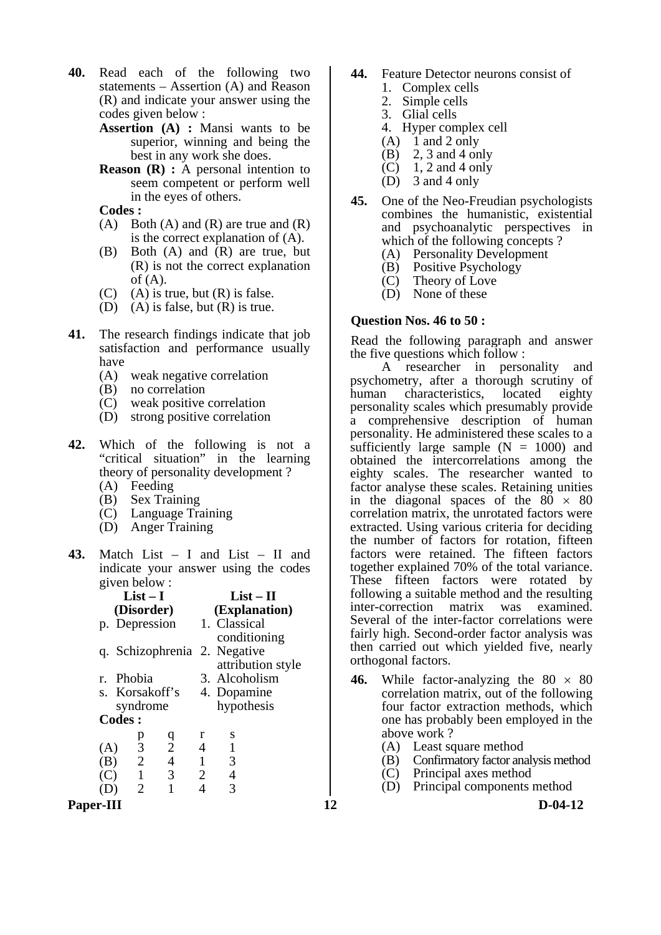- **40.** Read each of the following two statements – Assertion (A) and Reason (R) and indicate your answer using the codes given below :
	- **Assertion (A) :** Mansi wants to be superior, winning and being the best in any work she does.
	- **Reason** (**R**) : A personal intention to seem competent or perform well in the eyes of others.

 **Codes :** 

- (A) Both (A) and (R) are true and  $(R)$ is the correct explanation of (A).
- (B) Both (A) and (R) are true, but (R) is not the correct explanation of  $(A)$ .
- $(C)$  (A) is true, but  $(R)$  is false.
- (D) (A) is false, but  $(R)$  is true.
- **41.** The research findings indicate that job satisfaction and performance usually have
	- (A) weak negative correlation
	- (B) no correlation
	- (C) weak positive correlation
	- (D) strong positive correlation
- **42.** Which of the following is not a "critical situation" in the learning theory of personality development ?
	- (A) Feeding
	- (B) Sex Training
	- (C) Language Training
	- (D) Anger Training
- **43.** Match List I and List II and indicate your answer using the codes given below :

|               | $List-I$       |                |   | $List-II$                    |                   |
|---------------|----------------|----------------|---|------------------------------|-------------------|
|               | (Disorder)     |                |   | (Explanation)                |                   |
|               | p. Depression  |                |   | 1. Classical                 |                   |
|               |                |                |   | conditioning                 |                   |
|               |                |                |   | q. Schizophrenia 2. Negative |                   |
|               |                |                |   |                              | attribution style |
|               | r. Phobia      |                |   | 3. Alcoholism                |                   |
|               | s. Korsakoff's |                |   | 4. Dopamine                  |                   |
|               | syndrome       |                |   | hypothesis                   |                   |
| <b>Codes:</b> |                |                |   |                              |                   |
|               | p              | q              | r | S                            |                   |
| (A)           | 3              | $\overline{2}$ | 4 | 1                            |                   |
| (B)           | $\overline{2}$ | $\overline{4}$ | 1 | 3                            |                   |
| ( ' )         | $\mathbf{1}$   | 3              | 2 | 4                            |                   |
|               | 2              |                |   |                              |                   |

- **44.** Feature Detector neurons consist of
	- 1. Complex cells
	- 2. Simple cells
	- 3. Glial cells
	- 4. Hyper complex cell
	- (A)  $1$  and  $2$  only<br>(B)  $2$ ,  $3$  and  $4$  or
	- $2, 3$  and 4 only
	- $\overrightarrow{C}$  1, 2 and 4 only
	- (D) 3 and 4 only
- **45.** One of the Neo-Freudian psychologists combines the humanistic, existential and psychoanalytic perspectives in which of the following concepts ?
	- (A) Personality Development
	- (B) Positive Psychology
	- (C) Theory of Love
	- (D) None of these

#### **Question Nos. 46 to 50 :**

Read the following paragraph and answer the five questions which follow :

 A researcher in personality and psychometry, after a thorough scrutiny of<br>human characteristics, located eighty human characteristics, located eighty personality scales which presumably provide a comprehensive description of human personality. He administered these scales to a sufficiently large sample  $(N = 1000)$  and obtained the intercorrelations among the eighty scales. The researcher wanted to factor analyse these scales. Retaining unities in the diagonal spaces of the  $80 \times 80$ correlation matrix, the unrotated factors were extracted. Using various criteria for deciding the number of factors for rotation, fifteen factors were retained. The fifteen factors together explained 70% of the total variance. These fifteen factors were rotated by following a suitable method and the resulting<br>inter-correction matrix was examined. inter-correction matrix was examined. Several of the inter-factor correlations were fairly high. Second-order factor analysis was then carried out which yielded five, nearly orthogonal factors.

- **46.** While factor-analyzing the  $80 \times 80$ correlation matrix, out of the following four factor extraction methods, which one has probably been employed in the above work ?
	- (A) Least square method
- (B) Confirmatory factor analysis method
- (C) Principal axes method
	- (D) Principal components method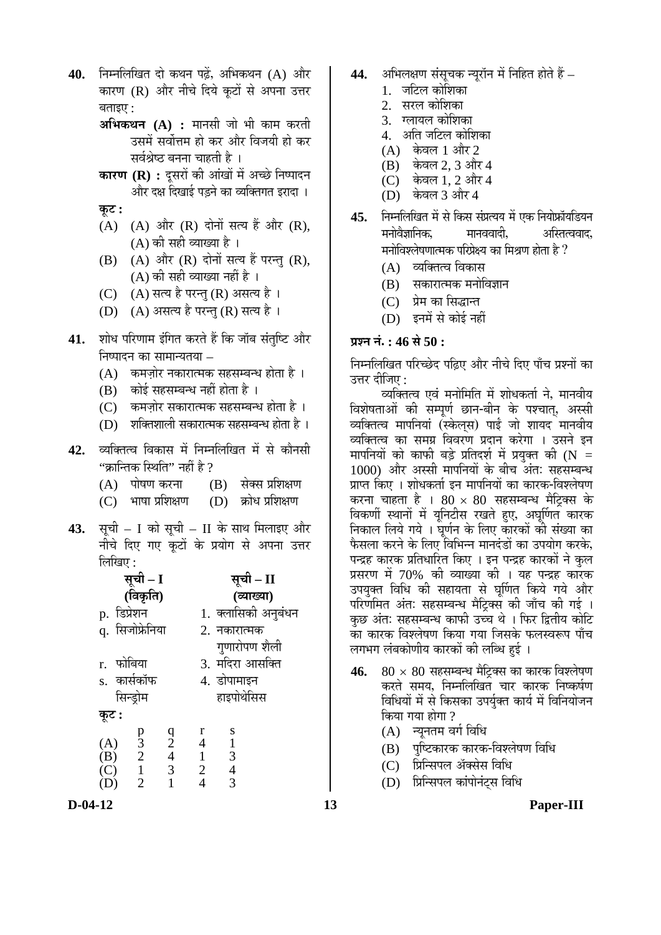- 40. **निम्नलिखित दो कथन पढें, अभिकथन (A) और** कारण (R) और नीचे दिये कटों से अपना उत्तर बताइए $\cdot$ 
	- **अभिकथन (A) :** मानसी जो भी काम करती उसमें सर्वोत्तम हो कर और विजयी हो कर सर्वश्रेष्ठ बनना चाहती है ।
	- **कारण (R) :** दूसरों की आंखों में अच्छे निष्पादन और दक्ष दिखाई पडने का व्यक्तिगत इरादा ।
	- **Ûæú™ü :**
	- $(A)$   $(A)$  और  $(R)$  दोनों सत्य हैं और  $(R)$ ,  $(A)$  की सही व्याख्या है।
	- $(B)$   $(A)$  और  $(R)$  दोनों सत्य हैं परन्तु  $(R)$ ,  $(A)$  की सही व्याख्या नहीं है ।
	- (C) (A) सत्य है परन्तु (R) असत्य है ।
	- (D) (A) असत्य है परन्तु (R) सत्य है।
- 41. शोध परिणाम इंगित करते हैं कि जॉब संतुष्टि और निष्पादन का सामान्यतया  $-$ 
	- $(A)$  कमजोर नकारात्मक सहसम्बन्ध होता है)।
	- $(B)$  कोई सहसम्बन्ध नहीं होता है)
	- (C) कमजोर सकारात्मक सहसम्बन्ध होता है)।
	- $(D)$  शक्तिशाली सकारात्मक सहसम्बन्ध होता है)।
- 42. व्यक्तित्व विकास में निम्नलिखित में से कौनसी
	- "क्रान्तिक स्थिति" नहीं है ?<br>(A) पोषण करना (  $(B)$  सेक्स प्रशिक्षण<br>(D) क्रोध प्रशिक्षण
	- $(C)$  भाषा प्रशिक्षण
- **43.** सची I को सची II के साथ मिलाइए और नीचे दिए गए कटों के प्रयोग से अपना उत्तर  $\widehat{\mathbb{M}}$ खिए :

|                            | सूची – I                                  |                                           |                |                                                 | सूची – II           |  |  |
|----------------------------|-------------------------------------------|-------------------------------------------|----------------|-------------------------------------------------|---------------------|--|--|
|                            | (विकृति)                                  |                                           |                |                                                 | (व्याख्या)          |  |  |
| p. डिप्रेशन                |                                           |                                           |                |                                                 | 1. क्लासिकी अनुबंधन |  |  |
|                            | q. सिजोफ्रेनिया                           |                                           |                | 2. नकारात्मक                                    |                     |  |  |
|                            |                                           |                                           |                | गुणारोपण शैली                                   |                     |  |  |
| r. फोबिया                  |                                           |                                           |                | 3. मदिरा आसक्ति                                 |                     |  |  |
|                            | s. कार्सकॉफ                               |                                           | 4. डोपामाइन    |                                                 |                     |  |  |
|                            | सिन्ड्रोम                                 |                                           |                | हाइपोथेसिस                                      |                     |  |  |
| कूट :                      |                                           |                                           |                |                                                 |                     |  |  |
|                            |                                           |                                           | r              | S                                               |                     |  |  |
| $(A)$<br>$(B)$             | $\begin{matrix} p \\ 3 \\ 2 \end{matrix}$ | $\begin{matrix} 9 \\ 2 \\ 4 \end{matrix}$ | 4              | $\begin{array}{c} 1 \\ 3 \\ 4 \\ 3 \end{array}$ |                     |  |  |
|                            |                                           |                                           | $\mathbf{1}$   |                                                 |                     |  |  |
| (C)                        | $\mathbf{1}$                              | 3                                         | $\overline{2}$ |                                                 |                     |  |  |
| $\left( \mathrm{D}\right)$ | $\overline{2}$                            |                                           | 4              |                                                 |                     |  |  |

- 44. अभिलक्षण संसचक न्यरॉन में निहित होते हैं
	- 1. जटिल कोशिका
	- 2. सरल कोशिका
	- 3. ग्लायल कोशिका
	- 4. अति जटिल कोशिका
	- $(A)$  केवल 1 और 2
	- $(B)$  केवल 2, 3 और 4
	- $(C)$  केवल 1, 2 और 4
	- (D) केवल 3 और 4
- **45.** ×®Ö´®Ö×»Ö×ÜÖŸÖ ´Öë ÃÖê ×ÛúÃÖ ÃÖÓ¯ÖÏŸµÖµÖ ´Öë ‹Ûú ×®ÖµÖÖê±ÏúÖòµÖ×›üµÖ®Ö <u>मनोवैज्ञानिक, मानववादी, अस्तित्ववाद,</u> मनोविश्लेषणात्मक परिप्रेक्ष्य का मिश्रण होता है ?
	- $(A)$  व्यक्तित्व विकास
	- (B) सकारात्मक मनोविज्ञान
	- (C) प्रेम का सिद्धान्त
	- (D) इनमें से कोई नहीं

# **प्रश्न नं.: 46 से 50 :**

निम्नलिखित परिच्छेद पढिए और नीचे दिए पाँच प्रश्नों का उत्तर दीजिए $\colon$ 

व्यक्तित्व एवं मनोमिति में शोधकर्ता ने, मानवीय विशेषताओं की सम्पर्ण छान-बीन के पश्चात, अस्सी व्यक्तित्व मापनियां (स्केलस) पाई जो शायद मानवीय व्यक्तित्व का समग्र विवरण प्रदान करेगा । उसने इन मापनियों को काफी बड़े प्रतिदर्श में प्रयुक्त की (N = 1000) और अस्सी मापनियों के बीच अंत: सहसम्बन्ध प्राप्त किए । शोधकर्ता इन मापनियों का कारक-विश्लेषण करना चाहता है ।  $80 \times 80$  सहसम्बन्ध मैट्रिक्स के विकर्णी स्थानों में यूनिटीस रखते हुए, अघूर्णित कारक निकाल लिये गये । घुर्णन के लिए कारकों की संख्या का फैसला करने के लिए विभिन्न मानदंडों का उपयोग करके. पन्द्रह कारक प्रतिधारित किए । इन पन्द्रह कारकों ने कुल प्रसरण में 70% की व्याख्या की । यह पन्द्रह कारक उपयक्त विधि की सहायता से घर्णित किये गये और परिणमित अंतः सहसम्बन्ध मैटिक्स की जाँच की गई । कुछ अंत: सहसम्बन्ध काफी उच्च थे । फिर द्वितीय कोटि का कारक विश्लेषण किया गया जिसके फलस्वरूप पाँच लगभग लंबकोणीय कारकों की लब्धि हई ।

- **46.**  $80 \times 80$  सहसम्बन्ध मैट्रिक्स का कारक विश्लेषण करते समय, निम्नलिखित चार कारक निष्कर्षण विधियों में से किसका उपर्युक्त कार्य में विनियोजन किया गया होगा ?
	- (A) न्यूनतम वर्ग विधि
	- (B) पुष्टिकारक कारक-विश्लेषण विधि
	- (C) प्रिन्सिपल ॲक्सेस विधि
	- (D) प्रिन्सिपल कांपोनंटस विधि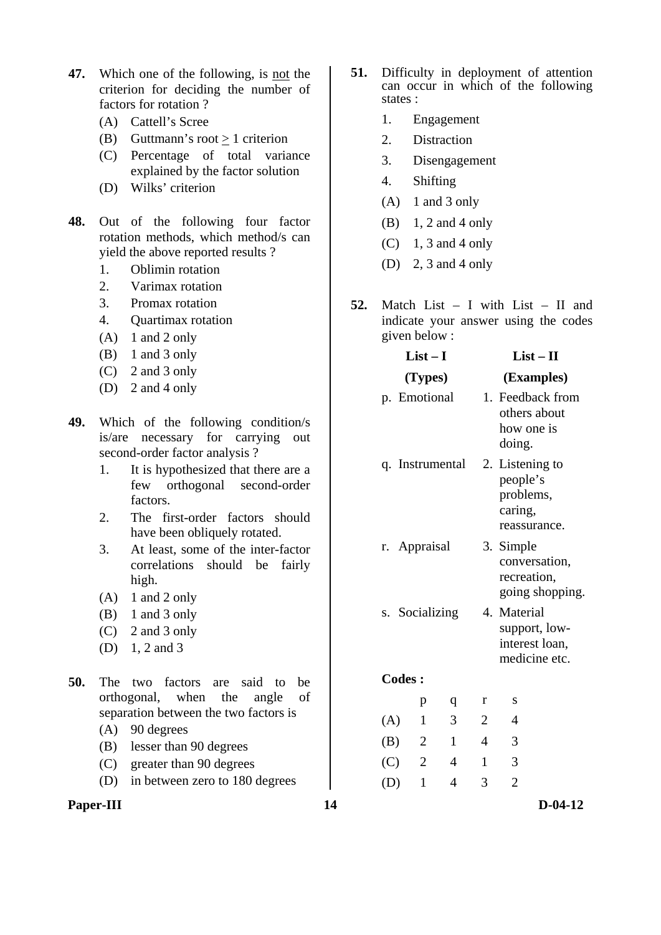- **47.** Which one of the following, is not the criterion for deciding the number of factors for rotation ?
	- (A) Cattell's Scree
	- (B) Guttmann's root  $\geq 1$  criterion
	- (C) Percentage of total variance explained by the factor solution
	- (D) Wilks' criterion
- **48.** Out of the following four factor rotation methods, which method/s can yield the above reported results ?
	- 1. Oblimin rotation
	- 2. Varimax rotation
	- 3. Promax rotation
	- 4. Quartimax rotation
	- $(A)$  1 and 2 only
	- $(B)$  1 and 3 only
	- (C) 2 and 3 only
	- (D) 2 and 4 only
- **49.** Which of the following condition/s is/are necessary for carrying out second-order factor analysis ?
	- 1. It is hypothesized that there are a few orthogonal second-order factors.
	- 2. The first-order factors should have been obliquely rotated.
	- 3. At least, some of the inter-factor correlations should be fairly high.
	- $(A)$  1 and 2 only
	- (B) 1 and 3 only
	- (C) 2 and 3 only
	- (D) 1, 2 and 3
- **50.** The two factors are said to be orthogonal, when the angle of separation between the two factors is
	- (A) 90 degrees
	- (B) lesser than 90 degrees
	- (C) greater than 90 degrees
	- (D) in between zero to 180 degrees

**Paper-III** D-04-12

- **51.** Difficulty in deployment of attention can occur in which of the following states :
	- 1. Engagement
	- 2. Distraction
	- 3. Disengagement
	- 4. Shifting
	- $(A)$  1 and 3 only
	- (B) 1, 2 and 4 only
	- $(C)$  1, 3 and 4 only
	- (D) 2, 3 and 4 only
- **52.** Match List I with List II and indicate your answer using the codes given below :

|               | $List-I$        |                |   | $List-II$                                                           |
|---------------|-----------------|----------------|---|---------------------------------------------------------------------|
|               | (Types)         |                |   | (Examples)                                                          |
|               | p. Emotional    |                |   | 1. Feedback from<br>others about<br>how one is<br>doing.            |
|               | q. Instrumental |                |   | 2. Listening to<br>people's<br>problems,<br>caring,<br>reassurance. |
|               | r. Appraisal    |                |   | 3. Simple<br>conversation,<br>recreation,<br>going shopping.        |
|               | s. Socializing  |                |   | 4. Material<br>support, low-<br>interest loan,<br>medicine etc.     |
| <b>Codes:</b> |                 |                |   |                                                                     |
|               | p               | q              | r | S                                                                   |
| (A)           | 1               | 3              | 2 | 4                                                                   |
| (B)           | $\overline{2}$  | $\mathbf{1}$   | 4 | 3                                                                   |
| (C)           | $\overline{2}$  | $\overline{4}$ | 1 | 3                                                                   |
| (D)           | $\mathbf{1}$    | 4              | 3 | $\overline{2}$                                                      |
|               |                 |                |   |                                                                     |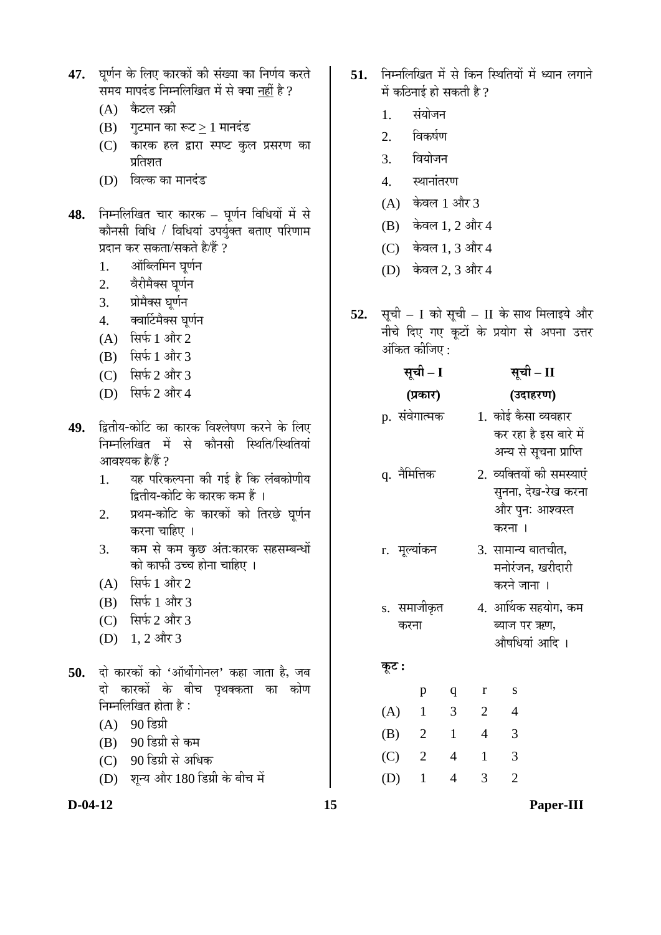- 47. घर्णन के लिए कारकों की संख्या का निर्णय करते समय मापदंड निम्नलिखित में से क्या नहीं है ?
	- $(A)$  कैटल स्क्री
	- $(B)$  गुटमान का रूट $>1$  मानदंड
	- (C) कारक हल द्वारा स्पष्ट कुल प्रसरण का प्रतिशत
	- (D) विल्क का मानदंड
- 48. निम्नलिखित चार कारक घूर्णन विधियों में से कौनसी विधि / विधियां उपर्युक्त बताए परिणाम प्रदान कर सकता/सकते है/हैं ?
	- 1. ऑब्लिमिन घर्णन
	- 2. वेरीमैक्स घूर्णन
	- 3. प्रोमैक्स घूर्णन
	- 4. वर्वाार्टमैक्स घूर्णन
	- (A) सिर्फ 1 और 2
	- $(B)$  सिर्फ 1 और 3
	- (C) सिर्फ 2 और 3
	- (D) सिर्फ 2 और 4
- 49. द्वितीय-कोटि का कारक विश्लेषण करने के लिए निम्नलिखित में से कौनसी स्थिति/स्थितियां आवश्यक है/हैं  $\it 2$ 
	- 1. यह परिकल्पना की गई है कि लंबकोणीय द्वितीय-कोटि के कारक कम हैं ।
	- 2. प्रथम-कोटि के कारकों को तिरछे घूर्णन करना चाहिए ।
	- 3. कम से कम कुछ अंत:कारक सहसम्बन्धों को काफी उच्च होना चाहिए ।
	- $(A)$  सिर्फ 1 और 2
	- $(B)$  सिर्फ 1 और 3
	- $(C)$  सिर्फ 2 और 3
	- (D) 1, 2 और 3
- 50. दो कारकों को 'ऑर्थोगोनल' कहा जाता है, जब दो कारकों के बीच पृथक्कता का कोण निम्नलिखित होता है:
	- $(A)$  90 डिग्री
	- (B) 90 डिग्री से कम
	- (C) 90 डिग्री से अधिक
	- (D) शुन्य और 180 डिग्री के बीच में

- 51. निम्नलिखित में से किन स्थितियों में ध्यान लगाने में कठिनाई हो सकती है ?
	- 1. संयोजन
	- $2.$  विकर्षण
	- 3. वियोजन
	- $4$  स्थानांतरण
	- $(A)$  केवल 1 और 3
	- $(B)$  केवल 1, 2 और 4
	- $(C)$  केवल 1, 3 और 4
	- (D) केवल 2, 3 और 4
- **52.** सूची I को सूची II के साथ मिलाइये और नीचे दिए गए कूटों के प्रयोग से अपना उत्तर अंकित कीजिए :

|                     | सूची – I       |                | सूची – II      |                                                                               |  |  |  |
|---------------------|----------------|----------------|----------------|-------------------------------------------------------------------------------|--|--|--|
|                     | (प्रकार)       |                |                | (उदाहरण)                                                                      |  |  |  |
| p. संवेगात्मक       |                |                |                | 1. कोई कैसा व्यवहार<br>कर रहा है इस बारे में<br>अन्य से सूचना प्राप्ति        |  |  |  |
| q. नैमित्तिक        |                |                |                | 2. व्यक्तियों की समस्याएं<br>सुनना, देख-रेख करना<br>और पुनः आश्वस्त<br>करना । |  |  |  |
| r. मूल्यांकन        |                |                |                | 3. सामान्य बातचीत,<br>मनोरंजन, खरीदारी<br>करने जाना ।                         |  |  |  |
| s. समाजीकृत<br>करना |                |                |                | 4. आर्थिक सहयोग, कम<br>ब्याज पर ऋण,<br>औषधियां आदि ।                          |  |  |  |
| कूट :               |                |                |                |                                                                               |  |  |  |
|                     | p              | q              | $\bf r$        | S                                                                             |  |  |  |
| (A)                 | $\mathbf{1}$   | $\overline{3}$ | $\overline{2}$ | $\overline{4}$                                                                |  |  |  |
| (B)                 | $\mathbf{2}$   | $\mathbf{1}$   | $\overline{4}$ | 3                                                                             |  |  |  |
| (C)                 | $\overline{4}$ | $\mathbf{1}$   | 3              |                                                                               |  |  |  |
| (D)                 | $\mathbf{1}$   | 4              | 3              | $\overline{2}$                                                                |  |  |  |

**D-04-12 15 Paper-III**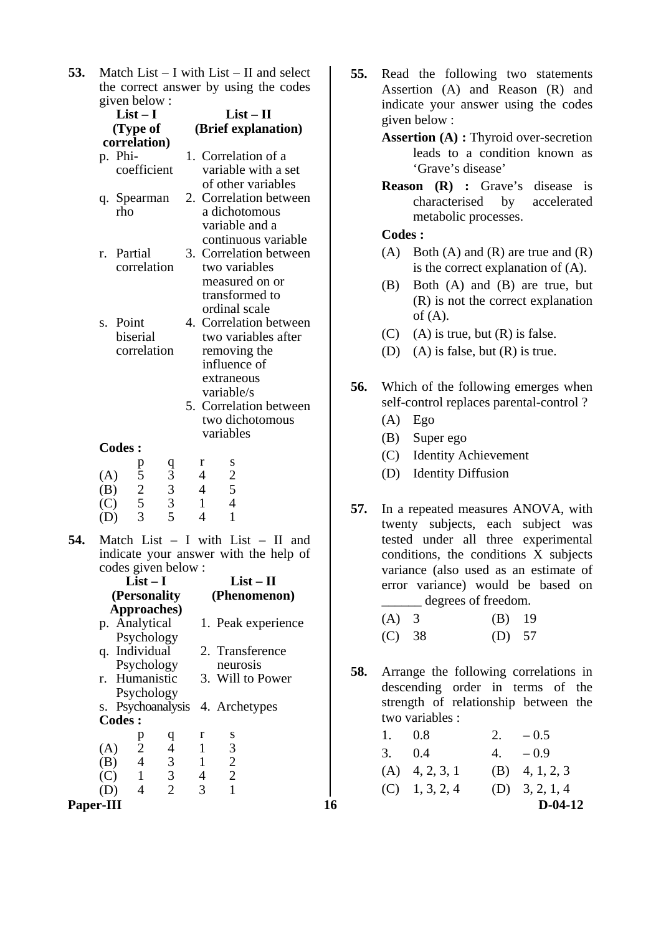**53.** Match List – I with List – II and select the correct answer by using the codes given below :

|     |                          |               | $\epsilon$ is $\epsilon$ .<br>$List-I$<br>(Type of<br>correlation) |        |          |                                                                                   | $List - II$<br>(Brief explanation)                                                                                                                            |  |
|-----|--------------------------|---------------|--------------------------------------------------------------------|--------|----------|-----------------------------------------------------------------------------------|---------------------------------------------------------------------------------------------------------------------------------------------------------------|--|
|     |                          | p. Phi-       | coefficient                                                        |        |          |                                                                                   | 1. Correlation of a<br>variable with a set<br>of other variables                                                                                              |  |
|     |                          | rho           | q. Spearman                                                        |        |          |                                                                                   | 2. Correlation between<br>a dichotomous<br>variable and a<br>continuous variable                                                                              |  |
|     |                          | r. Partial    | correlation                                                        |        | 3.       |                                                                                   | Correlation between<br>two variables<br>measured on or<br>transformed to<br>ordinal scale                                                                     |  |
|     |                          | s. Point      | biserial<br>correlation                                            |        | 4.<br>5. |                                                                                   | Correlation between<br>two variables after<br>removing the<br>influence of<br>extraneous<br>variable/s<br>Correlation between<br>two dichotomous<br>variables |  |
|     |                          | <b>Codes:</b> |                                                                    |        |          |                                                                                   |                                                                                                                                                               |  |
|     | (A)<br>(B)<br>(C)<br>(D) |               | $\begin{array}{c} 5 \\ 2 \\ 5 \\ 3 \end{array}$                    | 933335 |          | r<br>$\overline{4}$<br>$\overline{\mathcal{A}}$<br>$\mathbf{1}$<br>$\overline{4}$ | S<br>$\begin{array}{c} 2 \\ 5 \\ 4 \end{array}$<br>$\mathbf{1}$                                                                                               |  |
| 54. |                          |               | codes given below :<br>$List-I$                                    |        |          |                                                                                   | Match List $-$ I with List $-$ II and<br>indicate your answer with the help of<br>$List-II$                                                                   |  |
|     |                          |               | (Personality                                                       |        |          |                                                                                   | (Phenomenon)                                                                                                                                                  |  |
|     |                          |               | Approaches)<br>p. Analytical                                       |        |          |                                                                                   | 1. Peak experience                                                                                                                                            |  |

p. Analytical Psychology 1. Peak experience q. Individual Psychology 2. Transference neurosis r. Humanistic Psychology 3. Will to Power s. Psychoanalysis 4. Archetypes  **Codes :**  p q r s (A) 2 4 1 3  $\begin{array}{cccc} (B) & 4 & 3 & 1 & 2 \\ (C) & 1 & 3 & 4 & 2 \end{array}$  (C) 1 3 4 2 (D) 4 2 3 1

- **55.** Read the following two statements Assertion (A) and Reason (R) and indicate your answer using the codes given below :
	- **Assertion (A) :** Thyroid over-secretion leads to a condition known as 'Grave's disease'
	- **Reason (R) :** Grave's disease is characterised by accelerated metabolic processes.

## **Codes :**

- (A) Both (A) and (R) are true and  $(R)$ is the correct explanation of (A).
- (B) Both (A) and (B) are true, but (R) is not the correct explanation of  $(A)$ .
- (C) (A) is true, but  $(R)$  is false.
- (D) (A) is false, but (R) is true.
- **56.** Which of the following emerges when self-control replaces parental-control ?
	- (A) Ego
	- (B) Super ego
	- (C) Identity Achievement
	- (D) Identity Diffusion
- **57.** In a repeated measures ANOVA, with twenty subjects, each subject was tested under all three experimental conditions, the conditions X subjects variance (also used as an estimate of error variance) would be based on \_\_\_\_\_\_ degrees of freedom.

| (A) 3  | $(B)$ 19 |  |
|--------|----------|--|
| (C) 38 | $(D)$ 57 |  |

**58.** Arrange the following correlations in descending order in terms of the strength of relationship between the two variables :

| Paper-III |                |                |                |   |    |                  |    | $D-04-12$        |
|-----------|----------------|----------------|----------------|---|----|------------------|----|------------------|
| (D)       | $\overline{4}$ | 2              | 3              |   |    | $(C)$ 1, 3, 2, 4 |    | (D) $3, 2, 1, 4$ |
| (C)       | $\sim$ 1       | 3              | $\overline{4}$ |   |    | $(A)$ 4, 2, 3, 1 |    | (B) 4, 1, 2, 3   |
| (B)       | 4              | $\mathfrak{I}$ |                |   |    |                  |    |                  |
| (A)       | 2              | $\overline{4}$ |                | 3 | 3. | (0.4)            | 4. | $-0.9$           |
|           |                | <u>u</u>       |                |   |    |                  |    |                  |
|           | <sup>D</sup>   |                |                |   |    | 0.8              |    | $-0.5$           |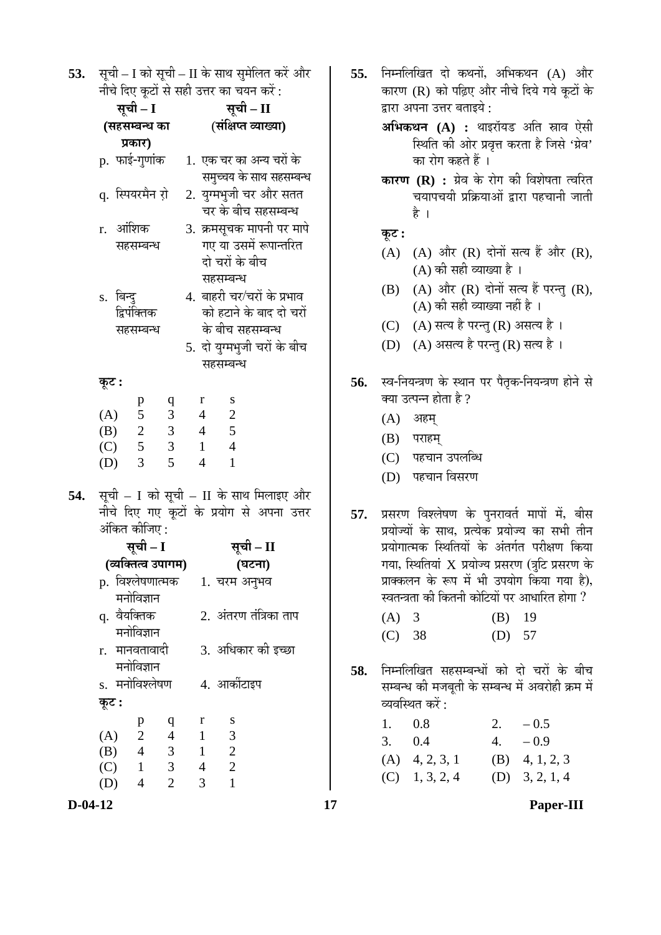**53.** सूची – I को सूची – II के साथ सुमेलित करें और नीचे दिए कटों से सही उत्तर का चयन करें:

|     |                       |                | सूची – I                  |                                                                                     |          | सूची – II                                                             |                 |                                  |        |                                                      |  |
|-----|-----------------------|----------------|---------------------------|-------------------------------------------------------------------------------------|----------|-----------------------------------------------------------------------|-----------------|----------------------------------|--------|------------------------------------------------------|--|
|     |                       |                | (सहसम्बन्ध का             |                                                                                     |          | (संक्षिप्त व्याख्या)                                                  |                 |                                  |        |                                                      |  |
|     | प्रकार)               |                |                           |                                                                                     |          |                                                                       |                 |                                  |        |                                                      |  |
|     | p. फाई-गुणांक         |                |                           |                                                                                     |          |                                                                       |                 |                                  |        | 1. एक चर का अन्य चरों के<br>समुच्चय के साथ सहसम्बन्ध |  |
|     | q. स्पियरमैन रो़      |                |                           |                                                                                     |          | 2. युग्मभुजी चर और सतत<br>चर के बीच सहसम्बन्ध                         |                 |                                  |        |                                                      |  |
|     | r. आंशिक<br>सहसम्बन्ध |                |                           |                                                                                     |          | 3. क्रमसूचक मापनी पर मापे<br>गए या उसमें रूपान्तरित<br>दो चरों के बीच |                 |                                  |        |                                                      |  |
|     |                       | s. बिन्दु      |                           |                                                                                     |          |                                                                       | सहसम्बन्ध       |                                  |        | 4. बाहरी चर⁄चरों के प्रभाव                           |  |
|     |                       |                | द्विपंक्तिक<br>सहसम्बन्ध  |                                                                                     |          |                                                                       |                 | के बीच सहसम्बन्ध                 |        | को हटाने के बाद दो चरों                              |  |
|     |                       |                |                           |                                                                                     |          |                                                                       | सहसम्बन्ध       |                                  |        | 5. दो युग्मभुजी चरों के ब <mark>ी</mark> च           |  |
|     | कूट :                 |                |                           |                                                                                     |          |                                                                       |                 |                                  |        |                                                      |  |
|     |                       | (A) 5          | p                         | $\mathbf q$<br>$\mathfrak{Z}$                                                       |          | $\mathbf r$<br>$\overline{4}$                                         | $\overline{c}$  | S                                |        |                                                      |  |
|     |                       | (B) 2<br>(C) 5 |                           |                                                                                     | $3 \t 4$ |                                                                       | $5\overline{)}$ |                                  |        |                                                      |  |
|     |                       |                |                           | $\overline{3}$                                                                      |          | 1                                                                     | $\overline{4}$  |                                  |        |                                                      |  |
|     | (D)                   |                | $\overline{3}$            | 5                                                                                   |          | $\overline{4}$                                                        |                 | $\mathbf{1}$                     |        |                                                      |  |
| 54. |                       |                | अंकित कीजिए :             | सूची – I को सूची – II के साथ मिलाइए और<br>नीचे दिए गए कूटों के प्रयोग से अपना उत्तर |          |                                                                       |                 |                                  |        |                                                      |  |
|     |                       |                | सूची – I                  |                                                                                     |          |                                                                       |                 | सूची – II                        |        |                                                      |  |
|     |                       |                |                           | (व्यक्तित्व उपागम)                                                                  |          |                                                                       |                 |                                  |        |                                                      |  |
|     |                       |                |                           | p. विश्लेषणात्मक     1. चरम अनुभव                                                   |          |                                                                       |                 |                                  | (घटना) |                                                      |  |
|     |                       |                | मनोविज्ञान                |                                                                                     |          |                                                                       |                 |                                  |        |                                                      |  |
|     |                       |                | q. वैयक्तिक<br>मनोविज्ञान |                                                                                     |          |                                                                       |                 |                                  |        | 2.  अंतरण तंत्रिका ताप                               |  |
|     | r.                    |                | मानवतावादी<br>मनोविज्ञान  |                                                                                     |          |                                                                       |                 |                                  |        | 3. अधिकार की इच्छा                                   |  |
|     | S.                    |                | मनोविश्लेषण               |                                                                                     |          |                                                                       |                 | 4. आर्कीटाइप                     |        |                                                      |  |
|     | कूट :                 |                |                           |                                                                                     |          |                                                                       |                 |                                  |        |                                                      |  |
|     |                       |                | p                         | $\mathbf q$                                                                         |          | r                                                                     |                 | S                                |        |                                                      |  |
|     | (A)                   |                | $\overline{c}$            | $\overline{4}$                                                                      |          | $\mathbf{1}$                                                          |                 | 3                                |        |                                                      |  |
|     | (B)                   |                | $\overline{4}$            | 3                                                                                   |          | $\mathbf{1}$                                                          |                 | $\overline{c}$<br>$\overline{c}$ |        |                                                      |  |
|     | (C)<br>(D)            |                | $\mathbf{1}$<br>4         | $\overline{\mathbf{3}}$<br>$\overline{2}$                                           |          | $\overline{\mathcal{A}}$<br>3                                         |                 | 1                                |        |                                                      |  |
|     |                       |                |                           |                                                                                     |          |                                                                       |                 |                                  |        |                                                      |  |

- **55.** निम्नलिखित दो कथनों, अभिकथन (A) और कारण (R) को पढ़िए और नीचे दिये गये कटों के द्वारा अपना उत्तर बताइये :
	- **अभिकथन (A) :** थाइरॉयड अति स्नाव ऐसी स्थिति की ओर प्रवृत्त करता है जिसे 'ग्रेव' का रोग कहते हैं ।
	- **कारण (R) :** ग्रेव के रोग की विशेषता त्वरित चयापचयी प्रक्रियाओं द्वारा पहचानी जाती है ।

**Ûæú™ü :** 

- $(A)$   $(A)$  और  $(R)$  दोनों सत्य हैं और  $(R)$ ,  $(A)$  की सही व्याख्या है।
- $(B)$   $(A)$  और  $(R)$  दोनों सत्य हैं परन्तु  $(R)$ ,  $(A)$  की सही व्याख्या नहीं है ।
- (C) (A) सत्य है परन्तु (R) असत्य है।
- (D) (A) असत्य है परन्तु (R) सत्य है।
- 56. स्व-नियन्त्रण के स्थान पर पैतृक-नियन्त्रण होने से क्या उत्पन्न होता है ?
	- $(A)$  अहम्
	- (B) पराहम्
	- (C) पहचान उपलब्धि
	- (D) पहचान विसरण
- 57. प्रसरण विश्लेषण के पुनरावर्त मापों में, बीस प्रयोज्यों के साथ, प्रत्येक प्रयोज्य का सभी तीन प्रयोगात्मक स्थितियों के अंतर्गत परीक्षण किया गया, स्थितियां  $\boldsymbol{\mathrm{X}}$  प्रयोज्य प्रसरण (त्रुटि प्रसरण के प्राक्कलन के रूप में भी उपयोग किया गया है), स्वतन्त्रता की कितनी कोटियों पर आधारित होगा ?
	- (A) 3 (B) 19 (C) 38 (D) 57
- 58. निम्नलिखित सहसम्बन्धों को दो चरों के बीच सम्बन्ध की मजबती के सम्बन्ध में अवरोही क्रम में व्यवस्थित करें $\cdot$

| 1. $0.8$ |                  | 2. $-0.5$        |
|----------|------------------|------------------|
|          | 3. 0.4           | $4. -0.9$        |
|          | $(A)$ 4, 2, 3, 1 | $(B)$ 4, 1, 2, 3 |
|          | $(C)$ 1, 3, 2, 4 | (D) $3, 2, 1, 4$ |

**D-04-12 17 Paper-III**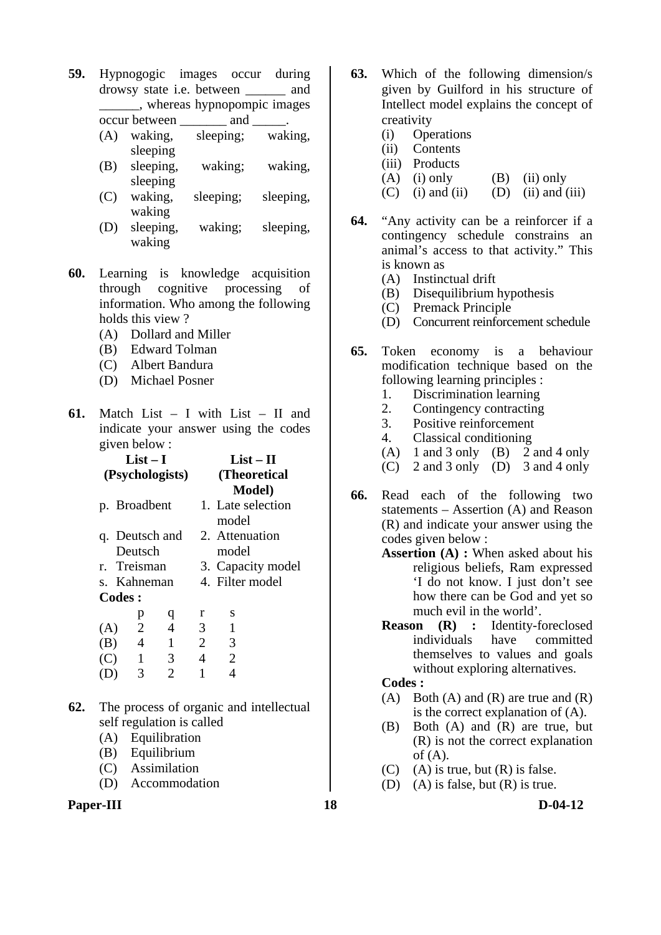- **59.** Hypnogogic images occur during drowsy state i.e. between \_\_\_\_\_\_ and \_\_\_\_\_\_, whereas hypnopompic images
	- occur between and (A) waking, sleeping; waking, sleeping
	- (B) sleeping, waking; waking, sleeping
	- (C) waking, sleeping; sleeping, waking
	- (D) sleeping, waking; sleeping, waking
- **60.** Learning is knowledge acquisition through cognitive processing of information. Who among the following holds this view ?
	- (A) Dollard and Miller
	- (B) Edward Tolman
	- (C) Albert Bandura
	- (D) Michael Posner
- **61.** Match List I with List II and indicate your answer using the codes given below :

| List $-$ I      |               |                |                |   | $List-II$         |
|-----------------|---------------|----------------|----------------|---|-------------------|
| (Psychologists) |               |                |                |   | (Theoretical)     |
|                 |               |                |                |   | <b>Model</b> )    |
|                 | p. Broadbent  |                |                |   | 1. Late selection |
|                 |               |                |                |   | model             |
|                 |               |                | q. Deutsch and |   | 2. Attenuation    |
|                 | Deutsch       |                |                |   | model             |
|                 | r. Treisman   |                |                |   | 3. Capacity model |
|                 | s. Kahneman   |                |                |   | 4. Filter model   |
|                 | <b>Codes:</b> |                |                |   |                   |
|                 |               | p              | q              | r | S                 |
| (A)             |               | $\overline{2}$ | $\overline{4}$ | 3 |                   |
| (B)             |               | $\overline{4}$ | $\mathbf{1}$   | 2 | 3                 |
| (C)             |               | 1              | 3              | 4 | $\overline{2}$    |
|                 |               | 3              | 2              |   |                   |
|                 |               |                |                |   |                   |

- **62.** The process of organic and intellectual self regulation is called
	- (A) Equilibration
	- (B) Equilibrium
	- (C) Assimilation
	- (D) Accommodation
- **Paper-III** D-04-12
- **63.** Which of the following dimension/s given by Guilford in his structure of Intellect model explains the concept of creativity
	- (i) Operations
	- (ii) Contents
	- (iii) Products
	- (A) (i) only (B) (ii) only
	- $(C)$  (i) and (ii) (D) (ii) and (iii)
- **64.** "Any activity can be a reinforcer if a contingency schedule constrains an animal's access to that activity." This is known as
	- (A) Instinctual drift
	- (B) Disequilibrium hypothesis
	- (C) Premack Principle
	- (D) Concurrent reinforcement schedule
- **65.** Token economy is a behaviour modification technique based on the following learning principles :
	- 1. Discrimination learning<br>2. Contingency contracting
	- 2. Contingency contracting<br>3. Positive reinforcement
	- Positive reinforcement
	- 4. Classical conditioning
	- (A) 1 and 3 only (B) 2 and 4 only
	- (C) 2 and 3 only  $(D)$  3 and 4 only
- **66.** Read each of the following two statements – Assertion (A) and Reason (R) and indicate your answer using the codes given below :
	- **Assertion (A) :** When asked about his religious beliefs, Ram expressed 'I do not know. I just don't see how there can be God and yet so much evil in the world'.
	- **Reason (R) :** Identity-foreclosed individuals have committed themselves to values and goals without exploring alternatives.

## **Codes :**

- (A) Both (A) and (R) are true and  $(R)$ is the correct explanation of (A).
- (B) Both (A) and (R) are true, but (R) is not the correct explanation of  $(A)$ .
- $(C)$  (A) is true, but  $(R)$  is false.
- (D) (A) is false, but (R) is true.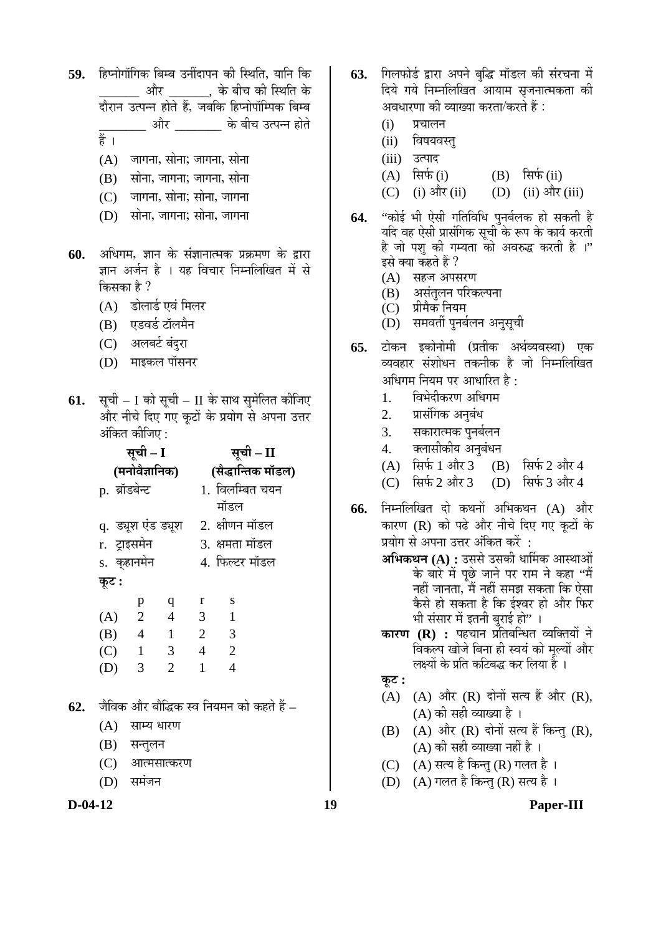- 59. Ebu Euning Franklight viewer of the formula of the formula of the settlement of the formula of the formula o  $\_$  और  $\_\_\_$ , के बीच की स्थिति के ¤üÖî¸üÖ®Ö ˆŸ¯Ö®®Ö ÆüÖêŸÖê Æïü, •Ö²Ö×Ûú ׯü¯®ÖÖê¯ÖÖò×´¯ÖÛú ײִ²Ö ्यौर के बीच उत्पन्न होते हैं ।
	- $(A)$  नजागना, सोना; जागना, सोना
	- $(B)$  सोना, जागना; जागना, सोना
	- $(C)$  जागना, सोना; सोना, जागना
	- $(D)$  सोना, जागना; सोना, जागना
- 60. अधिगम, ज्ञान के संज्ञानात्मक प्रक्रमण के द्वारा ज्ञान अर्जन है । यह विचार निम्नलिखित में से किसका है ?
	- (A) डोलार्ड एवं मिलर
	- (B) एडवर्ड टॉलमैन
	- (C) अलबर्ट बंदुरा
	- (D) माइकल पॉसनर
- **61.** सूची I को सूची II के साथ सुमेलित कीजिए और नीचे दिए गए कुटों के प्रयोग से अपना उत्तर अंकित कीजिए :

|                    | सूची – I       |                | सूची – II          |                 |  |  |
|--------------------|----------------|----------------|--------------------|-----------------|--|--|
|                    | (मनोवैज्ञानिक) |                | (सैद्धान्तिक मॉडल) |                 |  |  |
| p. ब्रॉडबेन्ट      |                |                |                    | 1. विलम्बित चयन |  |  |
|                    |                |                |                    | मॉडल            |  |  |
| q. ड्यूश एंड ड्यूश |                |                |                    | 2. क्षीणन मॉडल  |  |  |
| r. ट्राइसमेन       |                |                | 3. क्षमता मॉडल     |                 |  |  |
| s. कुहानमेन        |                |                | 4. फिल्टर मॉडल     |                 |  |  |
| कूट :              |                |                |                    |                 |  |  |
|                    | p              | q              | <sup>r</sup>       | - S             |  |  |
| (A)                | 2              | $\overline{4}$ | 3                  | 1               |  |  |
| (B)                | $\overline{4}$ | $\overline{1}$ | $\overline{2}$     | 3               |  |  |
| (C)                | $\overline{1}$ | 3              | $\overline{4}$     | $\overline{2}$  |  |  |
| (D)                | 3              | $\overline{2}$ |                    | 4               |  |  |
|                    |                |                |                    |                 |  |  |

- **62.** जैविक और बौद्धिक स्व नियमन को कहते हैं
	- $(A)$  साम्य धारण
	- (B) सन्तुलन
	- (C) आत्मसात्करण
	- $(D)$  समंजन
- 63. गिलफोर्ड द्वारा अपने बुद्धि मॉडल की संरचना में दिये गये निम्नलिखित आयाम सृजनात्मकता की अवधारणा की व्याख्या करता/करते हैं :
	- $(i)$  प्रचालन
	- (ii) विषयवस्त्
	- (iii) उत्पाद
	- $(A)$  सिर्फ $(i)$   $(B)$  सिर्फ $(ii)$
	- $(C)$  (i) और (ii) (D) (ii) और (iii)
- 64. "कोई भी ऐसी गतिविधि पुनर्बलक हो सकती है यदि वह ऐसी प्रासंगिक सूची के रूप के कार्य करती है जो पशु की गम्यता को अवरुद्ध करती है ।'' इसे क्या कहते हैं ?
	- (A) सहज अपसरण
	- (B) असंतलन परिकल्पना
	- (C) प्रीमैक नियम
	- (D) समवर्ती पुनर्बलन अनुसूची
- **65.** टोकन इकोनोमी (प्रतीक अर्थव्यवस्था) एक व्यवहार संशोधन तकनीक है जो निम्नलिखित अधिगम नियम पर आधारित है $\cdot$ 
	- 1. विभेदीकरण अधिगम
	- 2. प्रासंगिक अनुबंध
	- 3. सकारात्मक पुनर्बलन
	- 4. क्लासीकीय अनुबंधन
	-
	- (A) सिर्फ 1 और 3 (B) सिर्फ 2 और 4<br>(C) सिर्फ 2 और 3 (D) सिर्फ 3 और 4  $(C)$  सिर्फ 2 और 3
- **66.** निम्नलिखित दो कथनों अभिकथन (A) और कारण (R) को पढे और नीचे दिए गए कूटों के प्रयोग से अपना उत्तर अंकित करें :
	- **अभिकथन (A) :** उससे उसकी धार्मिक आस्थाओं के बारे में पूछे जाने पर राम ने कहा ''मैं नहीं जानता, मैं नहीं समझ सकता कि ऐसा कैसे हो सकता है कि ईश्वर हो और फिर भी संसार में इतनी बुराई हो"।
	- **कारण (R) :** पहचान प्रतिबन्धित व्यक्तियों ने विकल्प खोजे बिना ही स्वयं को मल्यों और लक्ष्यों के प्रति कटिबद्ध कर लिया है<sup>ं</sup>।

 $\Phi$ **:** 

- $(A)$   $(A)$  और  $(R)$  दोनों सत्य हैं और  $(R)$ , (A) की सही व्याख्या है ।
- $(B)$   $(A)$  और  $(R)$  दोनों सत्य हैं किन्तु  $(R)$ ,  $(A)$  की सही व्याख्या नहीं है ।
- (C)  $(A)$  सत्य है किन्तु (R) गलत है ।
- $(D)$   $(A)$  गलत है किन्तु  $(R)$  सत्य है ।

**D-04-12 19 Paper-III**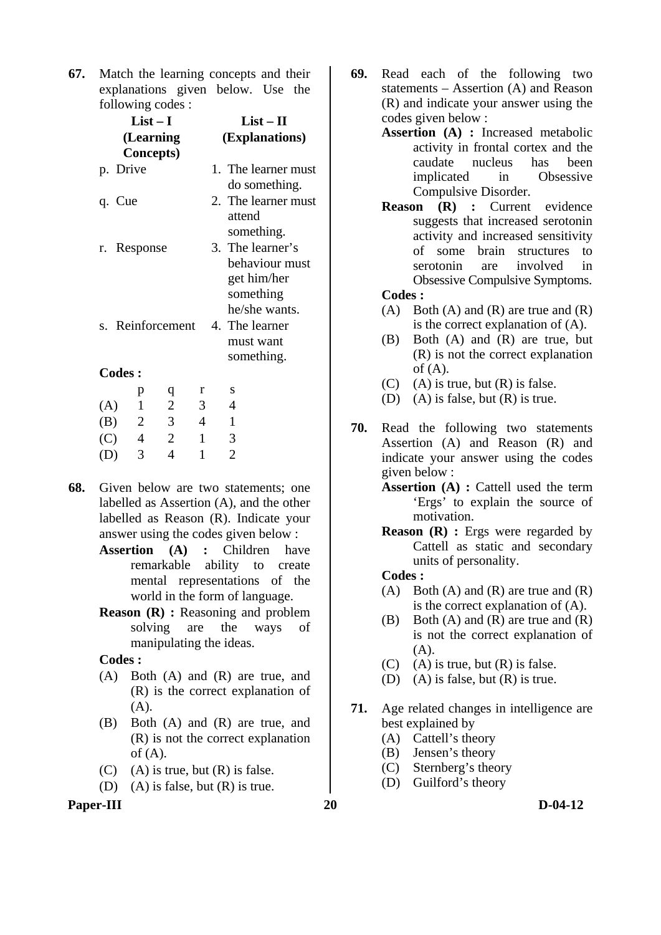**67.** Match the learning concepts and their explanations given below. Use the following codes :

|                  |               |                | $List-I$                       | $List-II$      |                |                                                                |
|------------------|---------------|----------------|--------------------------------|----------------|----------------|----------------------------------------------------------------|
|                  |               |                | (Learning<br><b>Concepts</b> ) |                | (Explanations) |                                                                |
|                  | p. Drive      |                |                                |                |                | 1. The learner must<br>do something.                           |
|                  | q. Cue        |                |                                |                |                | 2. The learner must<br>attend<br>something.                    |
| r. Response      |               |                |                                |                |                | 3. The learner's<br>behaviour must<br>get him/her<br>something |
|                  |               |                |                                |                |                | he/she wants.<br>4. The learner                                |
| s. Reinforcement |               |                |                                |                |                | must want<br>something.                                        |
|                  | <b>Codes:</b> |                |                                |                |                |                                                                |
|                  |               | p              | q                              | r              |                | S                                                              |
| (A)              |               | $\overline{1}$ | $\overline{2}$                 | $\overline{3}$ |                | 4                                                              |
| (B)              |               | 2              | 3                              | $\overline{4}$ |                | $\mathbf{1}$                                                   |
| (C)              |               | $\overline{4}$ | $\overline{2}$                 | $\overline{1}$ |                | 3                                                              |
| (D)              |               | 3              | 4                              | $\mathbf{1}$   |                | $\overline{2}$                                                 |

- **68.** Given below are two statements; one labelled as Assertion (A), and the other labelled as Reason (R). Indicate your answer using the codes given below :
	- **Assertion (A) :** Children have remarkable ability to create mental representations of the world in the form of language.
	- **Reason (R) :** Reasoning and problem solving are the ways of manipulating the ideas.

 **Codes :** 

- (A) Both (A) and (R) are true, and (R) is the correct explanation of (A).
- (B) Both (A) and (R) are true, and (R) is not the correct explanation of  $(A)$ .
- $(C)$  (A) is true, but  $(R)$  is false.
- (D) (A) is false, but (R) is true.
- **Paper-III** 20 D-04-12
- **69.** Read each of the following two statements – Assertion (A) and Reason (R) and indicate your answer using the codes given below :
	- **Assertion (A) :** Increased metabolic activity in frontal cortex and the caudate nucleus has been implicated in Obsessive Compulsive Disorder.
	- **Reason (R) :** Current evidence suggests that increased serotonin activity and increased sensitivity of some brain structures to serotonin are involved in Obsessive Compulsive Symptoms.
	- **Codes :**
	- (A) Both (A) and (R) are true and  $(R)$ is the correct explanation of (A).
	- (B) Both (A) and (R) are true, but (R) is not the correct explanation of  $(A)$ .
	- $(C)$  (A) is true, but  $(R)$  is false.
	- (D) (A) is false, but (R) is true.
- **70.** Read the following two statements Assertion (A) and Reason (R) and indicate your answer using the codes given below :
	- **Assertion (A) :** Cattell used the term 'Ergs' to explain the source of motivation.
	- **Reason (R) :** Ergs were regarded by Cattell as static and secondary units of personality.

## **Codes :**

- (A) Both (A) and  $(R)$  are true and  $(R)$ is the correct explanation of (A).
- (B) Both (A) and (R) are true and (R) is not the correct explanation of  $(A).$
- $(C)$  (A) is true, but  $(R)$  is false.
- (D) (A) is false, but (R) is true.
- **71.** Age related changes in intelligence are best explained by
	- (A) Cattell's theory
	- (B) Jensen's theory
	- (C) Sternberg's theory
	- (D) Guilford's theory
-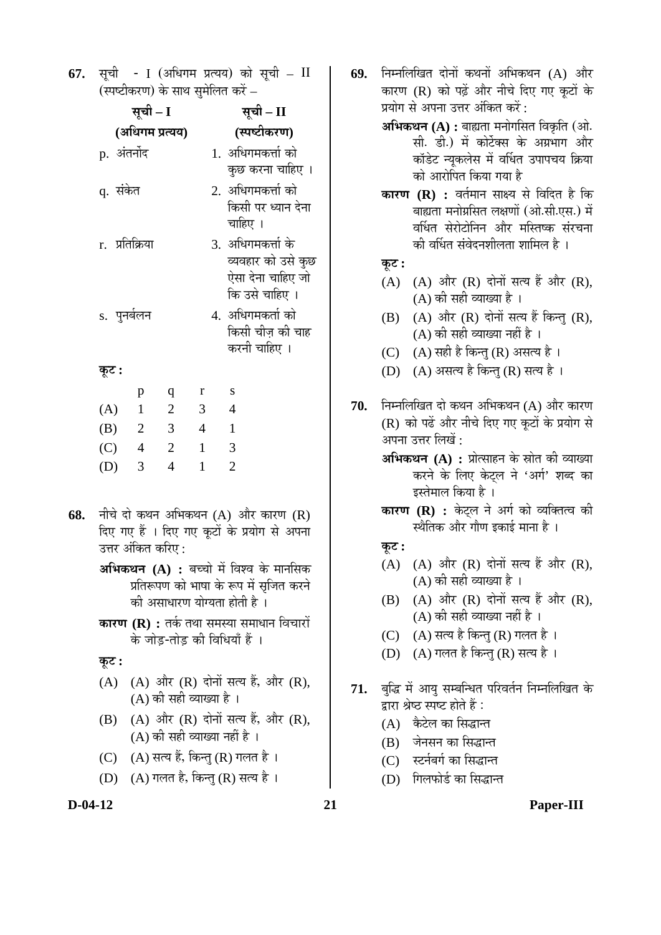**67.** सूची - I (अधिगम प्रत्यय) को सूची – II (स्पष्टीकरण) के साथ समेलित करें –

|                | सूची – I        |                | सूची – II      |                                                                                  |
|----------------|-----------------|----------------|----------------|----------------------------------------------------------------------------------|
|                | (अधिगम प्रत्यय) |                | (स्पष्टीकरण)   |                                                                                  |
| p. अंतर्नोद    |                 |                |                | 1.  अधिगमकर्त्ता को                                                              |
| q. संकेत       |                 |                |                | कुछ करना चाहिए ।<br>2. अधिगमकर्त्ता को<br>किसी पर ध्यान देना<br>चाहिए ।          |
| r. प्रतिक्रिया |                 |                |                | 3.  अधिगमकर्त्ता के<br>व्यवहार को उसे कुछ<br>ऐसा देना चाहिए जो<br>कि उसे चाहिए । |
| s. पुनर्बलन    |                 |                |                | 4.  अधिगमकर्ता को<br>किसी चीज़ की चाह<br>करनी चाहिए ।                            |
| कूट :          |                 |                |                |                                                                                  |
|                | p               | q              | r              | $\mathbf S$                                                                      |
| (A)            | $\overline{1}$  | $\overline{2}$ | $\overline{3}$ | $\overline{4}$                                                                   |
| (B)            | $\overline{2}$  | 3              | $\overline{4}$ | $\mathbf{1}$                                                                     |
| (C)            | $\overline{4}$  | $\overline{2}$ | $\mathbf{1}$   | 3                                                                                |
| (D)            | 3               | $\overline{4}$ | $\mathbf{1}$   | $\overline{2}$                                                                   |

- **68.** नीचे दो कथन अभिकथन (A) और कारण (R) दिए गए हैं । दिए गए कूटों के प्रयोग से अपना उत्तर अंकित करिए :
	- **अभिकथन (A) :** बच्चो में विश्व के मानसिक प्रतिरूपण को भाषा के रूप में सृजित करने की असाधारण योग्यता होती है ।
	- **कारण (R) :** तर्क तथा समस्या समाधान विचारों के जोड-तोड की विधियाँ हैं ।

 $\overline{\phi}$ **:** 

- $(A)$   $(A)$  और  $(R)$  दोनों सत्य हैं, और  $(R)$ , (A) की सही व्याख्या है ।
- $(B)$   $(A)$  और  $(R)$  दोनों सत्य हैं, और  $(R)$ ,  $(A)$  की सही व्याख्या नहीं है ।
- (C) (A) सत्य हैं, किन्तु (R) गलत है ।
- (D) (A) गलत है, किन्तु (R) सत्य है ।
- **69.** निम्नलिखित दोनों कथनों अभिकथन (A) और कारण (R) को पढ़ें और नीचे दिए गए कटों के प्रयोग से अपना उत्तर अंकित करें :
	- **अभिकथन (A) :** बाह्यता मनोगसित विकृति (ओ. सी. डी.) में कोर्टेक्स के अग्रभाग और कॉडेट न्युकलेस में वर्धित उपापचय क्रिया को आरोपित किया गया है
	- **कारण (R) :** वर्तमान साक्ष्य से विदित है कि बाह्यता मनोग्रसित लक्षणों (ओ.सी.एस.) में वर्धित सेरोटोनिन और मस्तिष्क संरचना को वर्धित संवेदनशीलता शामिल है ।

## $\overline{\Phi}$ :

- $(A)$   $(A)$  और  $(R)$  दोनों सत्य हैं और  $(R)$ ,  $(A)$  की सही व्याख्या है।
- $(B)$   $(A)$  और  $(R)$  दोनों सत्य हैं किन्त  $(R)$ ,  $(A)$  की सही व्याख्या नहीं है)।
- (C) (A) सही है किन्तु (R) असत्य है ।
- (D) (A) असत्य है किन्त् (R) सत्य है ।
- **70.** निम्नलिखित दो कथन अभिकथन (A) और कारण (R) को पढें और नीचे दिए गए कटों के प्रयोग से अपना उत्तर लिखें  $\cdot$ 
	- **अभिकथन (A) :** प्रोत्साहन के स्रोत की व्याख्या करने के लिए केटल ने 'अर्ग' शब्द का इस्तेमाल किया है ।
	- **कारण (R) :** केट्ल ने अर्ग को व्यक्तित्व की स्थैतिक और गौण इकाई माना है ।

# $\Phi$ **:**

- $(A)$   $(A)$  और  $(R)$  दोनों सत्य हैं और  $(R)$ , (A) की सही व्याख्या है ।
- $(B)$   $(A)$  और  $(R)$  दोनों सत्य हैं और  $(R)$ ,  $(A)$  की सही व्याख्या नहीं है ।
- (C)  $(A)$  सत्य है किन्तु (R) गलत है।
- (D) (A) गलत है किन्तु (R) सत्य है ।
- 71. बुद्धि में आयु सम्बन्धित परिवर्तन निम्नलिखित के <u>द्</u>नारा श्रेष्ठ स्पष्ट होते हैं:
	- $(A)$  कैटेल का सिद्धान्त
	- (B) जेनसन का सिद्धान्त
	- (C) स्टर्नबर्ग का सिद्धान्त
	- (D) गिलफोर्ड का सिद्धान्त

**D-04-12 21 Paper-III**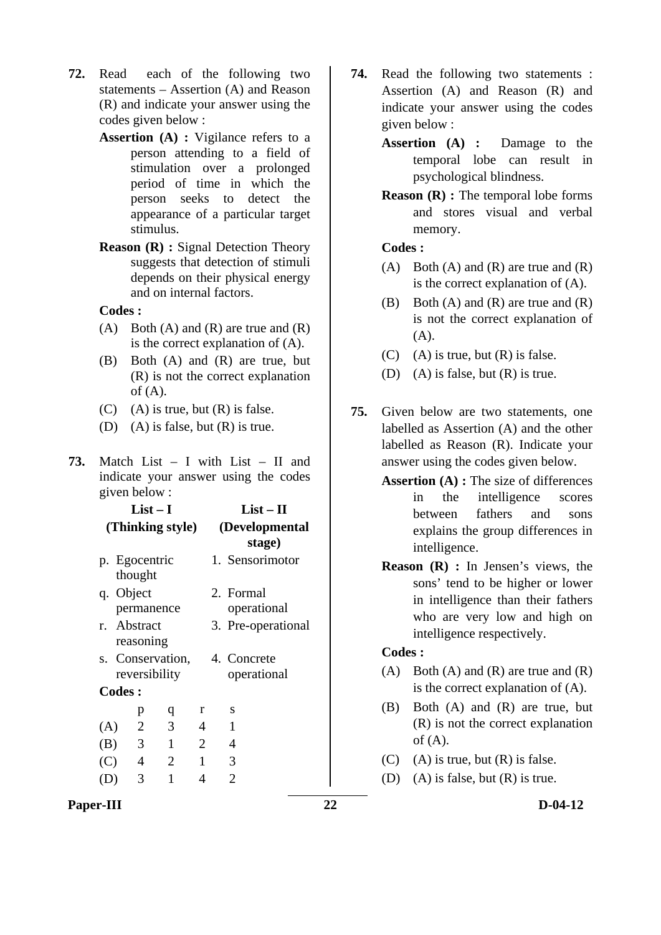- **72.** Read each of the following two statements – Assertion (A) and Reason (R) and indicate your answer using the codes given below :
	- **Assertion (A) :** Vigilance refers to a person attending to a field of stimulation over a prolonged period of time in which the person seeks to detect the appearance of a particular target stimulus.
	- **Reason (R) : Signal Detection Theory** suggests that detection of stimuli depends on their physical energy and on internal factors.

 **Codes :** 

- (A) Both (A) and (R) are true and  $(R)$ is the correct explanation of (A).
- (B) Both (A) and (R) are true, but (R) is not the correct explanation of  $(A)$ .
- $(C)$  (A) is true, but  $(R)$  is false.
- (D) (A) is false, but (R) is true.
- **73.** Match List I with List II and indicate your answer using the codes given below :

|                |                          | $List-I$         | $List-II$                |  |                                             |  |
|----------------|--------------------------|------------------|--------------------------|--|---------------------------------------------|--|
|                |                          | (Thinking style) | (Developmental<br>stage) |  |                                             |  |
|                | p. Egocentric<br>thought |                  |                          |  | 1. Sensorimotor                             |  |
|                | q. Object                | permanence       |                          |  | 2. Formal<br>operational                    |  |
|                | r. Abstract<br>reasoning |                  |                          |  | 3. Pre-operational                          |  |
|                |                          | reversibility    |                          |  | s. Conservation, 4. Concrete<br>operational |  |
|                | Codes:                   |                  |                          |  |                                             |  |
|                | p                        | q                | r                        |  | S                                           |  |
| (A)            | $\overline{2}$           | 3                | $\overline{4}$           |  | 1                                           |  |
| (B)            | $\overline{\mathbf{3}}$  | 1                | 2                        |  | 4                                           |  |
| (C)            | $\overline{4}$           | $\overline{2}$   | 1                        |  | 3                                           |  |
| $\mathsf{(D)}$ | 3                        | 1                | 4                        |  | 2                                           |  |

- **74.** Read the following two statements : Assertion (A) and Reason (R) and indicate your answer using the codes given below :
	- **Assertion (A) :** Damage to the temporal lobe can result in psychological blindness.
	- **Reason (R) :** The temporal lobe forms and stores visual and verbal memory.

 **Codes :** 

- (A) Both (A) and (R) are true and  $(R)$ is the correct explanation of (A).
- (B) Both (A) and (R) are true and (R) is not the correct explanation of  $(A)$ .
- $(C)$  (A) is true, but  $(R)$  is false.
- (D) (A) is false, but (R) is true.
- **75.** Given below are two statements, one labelled as Assertion (A) and the other labelled as Reason (R). Indicate your answer using the codes given below.
	- **Assertion (A) :** The size of differences in the intelligence scores between fathers and sons explains the group differences in intelligence.
	- **Reason (R) :** In Jensen's views, the sons' tend to be higher or lower in intelligence than their fathers who are very low and high on intelligence respectively.

## **Codes :**

- (A) Both (A) and (R) are true and  $(R)$ is the correct explanation of (A).
- (B) Both (A) and (R) are true, but (R) is not the correct explanation of  $(A)$ .
- $(C)$  (A) is true, but  $(R)$  is false.
- (D) (A) is false, but (R) is true.

**Paper-III** 22 D-04-12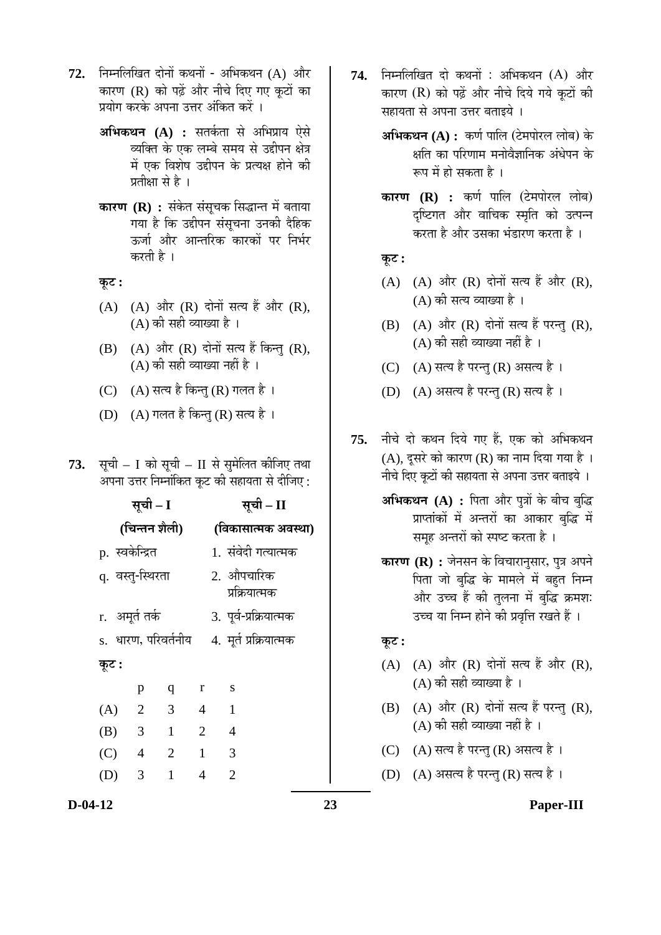- 72. निम्नलिखित दोनों कथनों अभिकथन (A) और कारण (R) को पढ़ें और नीचे दिए गए कटों का प्रयोग करके अपना उत्तर अंकित करें ।
	- **अभिकथन (A) :** सतर्कता से अभिप्राय ऐसे व्यक्ति के एक लम्बे समय से उद्दीपन क्षेत्र में एक विशेष उद्दीपन के प्रत्यक्ष होने की प्रतीक्षा से है ।
	- **कारण (R) :** संकेत संसूचक सिद्धान्त में बताया गया है कि उद्दीपन संसुचना उनकी दैहिक ऊर्जा और आन्तरिक कारकों पर निर्भर करती है ।

**Ûæú™ü :** 

- $(A)$   $(A)$  और  $(R)$  दोनों सत्य हैं और  $(R)$ , (A) की सही व्याख्या है ।
- $(B)$   $(A)$  और  $(R)$  दोनों सत्य हैं किन्तु  $(R)$ ,  $(A)$  की सही व्याख्या नहीं है ।
- (C) (A) सत्य है किन्तु (R) गलत है ।
- (D) (A) गलत है किन्तु (R) सत्य है ।
- 73. सूची I को सूची II से सुमेलित कीजिए तथा अपना उत्तर निम्नांकित कूट की सहायता से दीजिए :

|               |                | सूची – I                |                      | सूची – II      |                     |                             |  |  |  |
|---------------|----------------|-------------------------|----------------------|----------------|---------------------|-----------------------------|--|--|--|
| (चिन्तन शैली) |                |                         |                      |                | (विकासात्मक अवस्था) |                             |  |  |  |
|               |                | p. स्वकेन्द्रित         |                      |                |                     | 1. संवेदी गत्यात्मक         |  |  |  |
|               |                | q. वस्तु-स्थिरता        |                      |                |                     | 2. औपचारिक<br>प्रक्रियात्मक |  |  |  |
|               |                | r. अमूर्त तर्क          |                      |                |                     | 3. पूर्व-प्रक्रियात्मक      |  |  |  |
|               |                |                         | s.  धारण, परिवर्तनीय |                |                     | 4. मूर्त प्रक्रियात्मक      |  |  |  |
| कूट :         |                |                         |                      |                |                     |                             |  |  |  |
|               |                | p                       | $\mathbf{q}$         | $\mathbf{r}$   |                     | S                           |  |  |  |
| (A)           |                | $\overline{2}$          | $\overline{3}$       | $\overline{4}$ |                     | $\mathbf{1}$                |  |  |  |
| (B)           |                | $\overline{\mathbf{3}}$ | $\overline{1}$       | $\overline{2}$ |                     | $\overline{4}$              |  |  |  |
| (C)           | $\overline{4}$ |                         | $\overline{2}$       | 1              |                     | 3                           |  |  |  |
| (D)           |                | $\overline{\mathbf{3}}$ | 1                    | 4              |                     | $\overline{2}$              |  |  |  |
|               |                |                         |                      |                |                     |                             |  |  |  |

- 74. निम्नलिखित दो कथनों : अभिकथन (A) और कारण (R) को पढ़ें और नीचे दिये गये कटों की सहायता से अपना उत्तर बताइये ।
	- **अभिकथन (A) :** कर्ण पालि (टेमपोरल लोब) के क्षति का परिणाम मनोवैज्ञानिक अंधेपन के रूप में हो सकता है ।
	- **कारण (R) :** कर्ण पालि (टेमपोरल लोब) दृष्टिगत और वाचिक स्मृति को उत्पन्न करता है और उसका भंडारण करता है ।

**Ûæú™ü :** 

- $(A)$   $(A)$  और  $(R)$  दोनों सत्य हैं और  $(R)$ ,  $(A)$  की सत्य व्याख्या है ।
- $(B)$   $(A)$  और  $(R)$  दोनों सत्य हैं परन्त  $(R)$ ,  $(A)$  की सही व्याख्या नहीं है ।
- (C) (A) सत्य है परन्तु (R) असत्य है।
- (D)  $(A)$  असत्य है परन्तु (R) सत्य है ।
- 75. नीचे दो कथन दिये गए हैं, एक को अभिकथन  $(A)$ , दूसरे को कारण  $(R)$  का नाम दिया गया है। नीचे दिए कुटों की सहायता से अपना उत्तर बताइये ।
	- **अभिकथन (A) :** पिता और पुत्रों के बीच बुद्धि प्राप्तांकों में अन्तरों का आकार बुद्धि में समह अन्तरों को स्पष्ट करता है ।
	- **कारण (R) :** जेनसन के विचारानुसार, पुत्र अपने पिता जो बुद्धि के मामले में बहत निम्न और उच्च हैं की तुलना में बुद्धि क्रमश: उच्च या निम्न होने की प्रवृत्ति रखते हैं ।

#### **Ûæú™ü :**

- $(A)$   $(A)$  और  $(R)$  दोनों सत्य हैं और  $(R)$ ,  $(A)$  की सही व्याख्या है।
- $(B)$   $(A)$  और  $(R)$  दोनों सत्य हैं परन्तु  $(R)$ ,  $(A)$  की सही व्याख्या नहीं है ।
- (C) (A) सत्य है परन्तु (R) असत्य है।
- (D) (A) असत्य है परन्तु (R) सत्य है।

## **D-04-12 23 Paper-III**